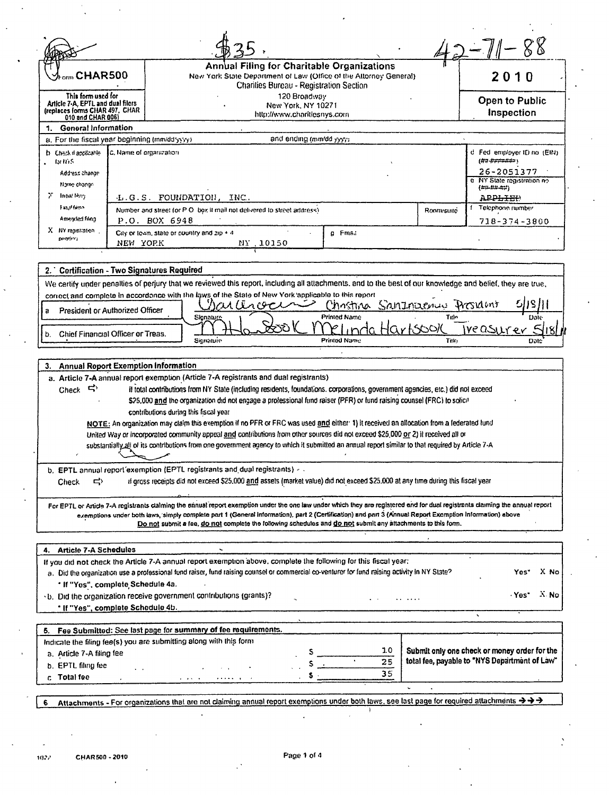|                                                                                                                |                         |               |                                                                                                                                                                                                                                                                             |                                                                   |                                                                                                                 |                       | 88<br>$-7$                                                                                                                                                                     |
|----------------------------------------------------------------------------------------------------------------|-------------------------|---------------|-----------------------------------------------------------------------------------------------------------------------------------------------------------------------------------------------------------------------------------------------------------------------------|-------------------------------------------------------------------|-----------------------------------------------------------------------------------------------------------------|-----------------------|--------------------------------------------------------------------------------------------------------------------------------------------------------------------------------|
| mCHAR500                                                                                                       |                         |               |                                                                                                                                                                                                                                                                             | Charilies Bureau - Registration Section                           | Annual Filing for Charitable Organizations<br>New York State Department of Law (Office of the Attorney General) |                       | 201<br>D.                                                                                                                                                                      |
| This form used for<br>Article 7-A, EPTL and dual filers<br>(replaces forms CHAR 497, CHAR<br>010 and CHAR 005) |                         |               |                                                                                                                                                                                                                                                                             | 120 Broadway<br>New York, NY 10271<br>http://www.charitiesnys.com |                                                                                                                 |                       | Open to Public<br>Inspection                                                                                                                                                   |
| <b>General Information</b><br>1.                                                                               |                         |               |                                                                                                                                                                                                                                                                             |                                                                   |                                                                                                                 |                       |                                                                                                                                                                                |
| a. For the fiscal year beginning (mm/dd'yyyy).                                                                 |                         |               |                                                                                                                                                                                                                                                                             | and ending (mm/dd yyyy:                                           |                                                                                                                 |                       |                                                                                                                                                                                |
| <b>b</b> Check if applicable<br>the Hirs<br>Address change                                                     | C. Name of organization |               |                                                                                                                                                                                                                                                                             |                                                                   |                                                                                                                 |                       | d Fed employer ID no (EIN)<br>$(47 - 4777777772)$<br>26-2051377                                                                                                                |
| Name change.<br>India! Ierry<br>Х                                                                              |                         |               | L.G.S. FOUNDATION, INC.                                                                                                                                                                                                                                                     |                                                                   |                                                                                                                 |                       | e NY State registration no<br>{######<br>APPLIED                                                                                                                               |
| Fanaffarm<br>Amerylad filma                                                                                    |                         | P.O. BOX 6948 | Number and street (or P.O. box it mail not delivered to street address).                                                                                                                                                                                                    |                                                                   |                                                                                                                 | Room/suite            | Telephone rumber<br>$718 - 374 - 3800$                                                                                                                                         |
| X NY registration<br>peortron.                                                                                 | NEW YORK                |               | City or town, state or country and $2ip + 4$                                                                                                                                                                                                                                | NY 10150                                                          | g Fmai                                                                                                          |                       |                                                                                                                                                                                |
|                                                                                                                |                         |               |                                                                                                                                                                                                                                                                             |                                                                   |                                                                                                                 |                       |                                                                                                                                                                                |
| 2. Certification - Two Signatures Required                                                                     |                         |               |                                                                                                                                                                                                                                                                             |                                                                   |                                                                                                                 |                       | We certify under penallies of perjury that we reviewed this report, including all attachments, and to the best of our knowledge and belief, they are true,                     |
|                                                                                                                |                         |               | correct and complete in accordance with the laws of the State of New York applicable to this report                                                                                                                                                                         |                                                                   |                                                                                                                 |                       |                                                                                                                                                                                |
| President or Authorized Officer<br>a                                                                           |                         |               | Dan Ancea                                                                                                                                                                                                                                                                   |                                                                   | Chastina                                                                                                        | Santopaenus Prosident |                                                                                                                                                                                |
|                                                                                                                |                         |               | Slonature                                                                                                                                                                                                                                                                   |                                                                   | Printed Name                                                                                                    | Tulo                  | Date                                                                                                                                                                           |
| Chief Financial Officer or Treas.<br>b.                                                                        |                         |               | Signature                                                                                                                                                                                                                                                                   |                                                                   | Y Linda<br>Printed Name                                                                                         | 500K<br>Titles        | Ireasilrer                                                                                                                                                                     |
| <b>Annual Report Exemption Information</b><br>3.                                                               |                         |               |                                                                                                                                                                                                                                                                             |                                                                   |                                                                                                                 |                       |                                                                                                                                                                                |
|                                                                                                                |                         |               | a. Article 7-A annual report exemption (Article 7-A registrants and dual registrants)                                                                                                                                                                                       |                                                                   |                                                                                                                 |                       |                                                                                                                                                                                |
| Check $\Rightarrow$                                                                                            |                         |               | il total contributions from NY State (including residents, foundations, corporations, government agencies, etc.) did not exceed<br>\$25,000 and the organization did not engage a professional fund raiser (PFR) or fund raising counsel (FRC) to solicit                   |                                                                   |                                                                                                                 |                       |                                                                                                                                                                                |
|                                                                                                                |                         |               | contributions during this fiscal year                                                                                                                                                                                                                                       |                                                                   |                                                                                                                 |                       |                                                                                                                                                                                |
|                                                                                                                |                         |               | NOTE: An organization may claim this evemption if no PFR or FRC was used and either 1) it received an allocation from a federated fund<br>United Way or incorporated community appeal and contributions from other sources did not exceed \$25,000 or 2) if received all or |                                                                   |                                                                                                                 |                       |                                                                                                                                                                                |
|                                                                                                                |                         |               | substantially all of its contributions from one government agency to which it submitted an annual report similar to that required by Article 7-A                                                                                                                            |                                                                   |                                                                                                                 |                       |                                                                                                                                                                                |
|                                                                                                                |                         |               | b. EPTL annual report'exemption (EPTL registrants and dual registrants)                                                                                                                                                                                                     |                                                                   |                                                                                                                 |                       |                                                                                                                                                                                |
| d)<br>Check                                                                                                    |                         |               | if gross receipts did not exceed \$25,000 and assets (market value) did not exceed \$25,000 at any time during this fiscal year                                                                                                                                             |                                                                   |                                                                                                                 |                       |                                                                                                                                                                                |
|                                                                                                                |                         |               | exemptions under both laws, simply complete part 1 (General Information), part 2 (Certification) and part 3 (Annual Report Exemption Information) above<br>Do not submit a fee, do not complete the following schedules and do not submit any attachments to this form.     |                                                                   |                                                                                                                 |                       | For EPTL or Article 7-A registrants claiming the annual report exemption under the one law under which they are registered and for dual registrants claiming the annual report |
| <b>Article 7-A Schedules</b><br>4.                                                                             |                         |               |                                                                                                                                                                                                                                                                             |                                                                   |                                                                                                                 |                       |                                                                                                                                                                                |
|                                                                                                                |                         |               | If you did not check the Article 7-A annual report exemption above, complete the following for this fiscal year:                                                                                                                                                            |                                                                   |                                                                                                                 |                       |                                                                                                                                                                                |
|                                                                                                                |                         |               | a. Did the organization use a professional fund raiser, fund raising counsel or commercial co-venturer for fund raising activity in NY State?                                                                                                                               |                                                                   |                                                                                                                 |                       | X No<br>Yes*                                                                                                                                                                   |
| * If "Yes", complete Schedule 4a.                                                                              |                         |               |                                                                                                                                                                                                                                                                             |                                                                   |                                                                                                                 |                       |                                                                                                                                                                                |
| * If "Yes", complete Schedule 4b.                                                                              |                         |               | ·b. Did the organization receive government contributions (grants)?                                                                                                                                                                                                         |                                                                   |                                                                                                                 |                       | $X$ -No<br>· Yes*                                                                                                                                                              |
|                                                                                                                |                         |               |                                                                                                                                                                                                                                                                             |                                                                   |                                                                                                                 |                       | $\ddot{\phantom{0}}$                                                                                                                                                           |
| 5.                                                                                                             |                         |               | Fee Submitted: See last page for summary of fee requirements.<br>Indicate the filing fee(s) you are submitting along with this form                                                                                                                                         |                                                                   |                                                                                                                 |                       |                                                                                                                                                                                |
| a. Article 7-A filing fee                                                                                      |                         |               |                                                                                                                                                                                                                                                                             | s                                                                 | 10                                                                                                              |                       | Submit only one check or money order for the                                                                                                                                   |
| b. EPTL filing fee                                                                                             |                         |               |                                                                                                                                                                                                                                                                             | S                                                                 | 25                                                                                                              |                       | total fee, payable to "NYS Department of Law"                                                                                                                                  |
| Total fee<br>C.                                                                                                |                         |               |                                                                                                                                                                                                                                                                             |                                                                   | 35                                                                                                              |                       |                                                                                                                                                                                |
|                                                                                                                |                         |               |                                                                                                                                                                                                                                                                             |                                                                   |                                                                                                                 | Ü                     |                                                                                                                                                                                |
| 6                                                                                                              |                         |               | Attachments - For organizations that are not claiming annual report exemptions under both laws, see last page for required attachments → → →                                                                                                                                |                                                                   |                                                                                                                 |                       |                                                                                                                                                                                |

 $\overline{a}$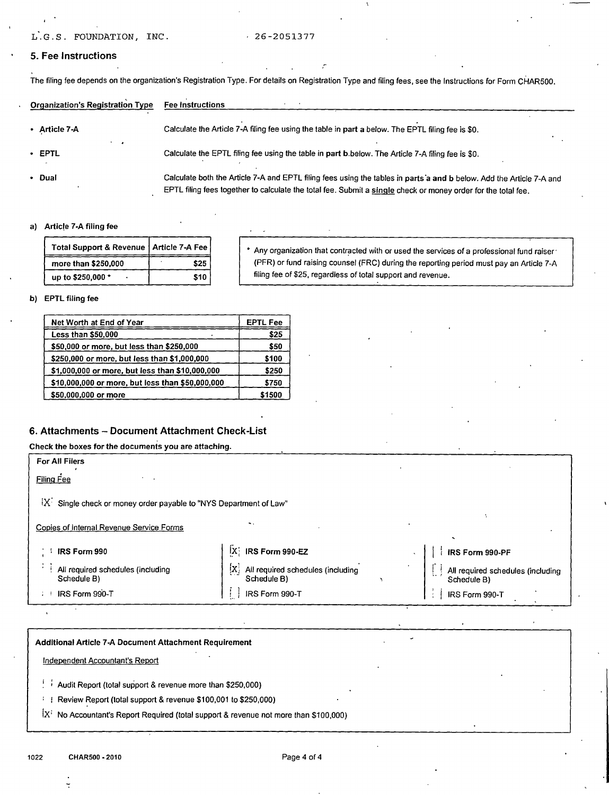#### L.G.S. FOUNDATION, INC. 26-2051377

# **5. Fee Instructions**

The filing fee depends on the organization's Registration Type. For details on Registration Type and filing fees, see the Instructions for Form CHAR500.

| <b>Organization's Registration Type</b> | <b>Fee Instructions</b>                                                                                                                                                                                                               |
|-----------------------------------------|---------------------------------------------------------------------------------------------------------------------------------------------------------------------------------------------------------------------------------------|
| • Article 7-A                           | Calculate the Article 7-A filing fee using the table in part a below. The EPTL filing fee is \$0.                                                                                                                                     |
| $\cdot$ EPTL                            | Calculate the EPTL filing fee using the table in part b below. The Article 7-A filing fee is \$0.                                                                                                                                     |
| • Dual                                  | Calculate both the Article 7-A and EPTL filing fees using the tables in parts a and b below. Add the Article 7-A and<br>EPTL filing fees together to calculate the total fee. Submit a single check or money order for the total fee. |

## a) Article 7-A filing fee

| Total Support & Revenue   Article 7-A Fee |      |
|-------------------------------------------|------|
| more than \$250,000                       | \$25 |
| up to \$250,000 *                         | \$10 |

\* Any organization that contracted with or used the services of a professional fund raiser (PFR) or fund raising counsel (FRC) during the reporting period must pay an Article 7-A filing fee of \$25, regardless of total support and revenue.

## b) EPTL filing fee

| Net Worth at End of Year                         | <b>EPTL Fee</b> |
|--------------------------------------------------|-----------------|
| <b>Less than \$50,000</b>                        | \$25            |
| \$50,000 or more, but less than \$250,000        | \$50            |
| \$250,000 or more, but less than \$1,000,000     | \$100           |
| \$1,000,000 or more, but less than \$10,000,000  | \$250           |
| \$10,000,000 or more, but less than \$50,000,000 | \$750           |
| \$50,000,000 or more                             | \$1500          |

# **6. Attachments - Document Attachment Check-List**

Check the boxes for the documents you are attaching.

| For All Filers                                                       |                                                                  |                                                  |
|----------------------------------------------------------------------|------------------------------------------------------------------|--------------------------------------------------|
| <b>Filing Fee</b><br><b>State</b>                                    |                                                                  |                                                  |
| $X^2$ Single check or money order payable to "NYS Department of Law" |                                                                  |                                                  |
| Copies of Internal Revenue Service Forms                             | ۰.                                                               |                                                  |
| IRS Form 990                                                         | $ X $ IRS Form 990-EZ                                            | IRS Form 990-PF                                  |
| All required schedules (including<br>Schedule B)                     | $\mathbf{x}$<br>All required schedules (including<br>Schedule B) | All required schedules (including<br>Schedule B) |
| IRS Form 990-T                                                       | IRS Form 990-T                                                   | IRS Form 990-T                                   |

| <b>Additional Article 7-A Document Attachment Requirement</b>                            |  |  |  |
|------------------------------------------------------------------------------------------|--|--|--|
| Independent Accountant's Report                                                          |  |  |  |
| Audit Report (total support & revenue more than \$250,000)                               |  |  |  |
| Review Report (total support & revenue \$100,001 to \$250,000)                           |  |  |  |
| $[X1]$ No Accountant's Report Required (total support & revenue not more than \$100,000) |  |  |  |
|                                                                                          |  |  |  |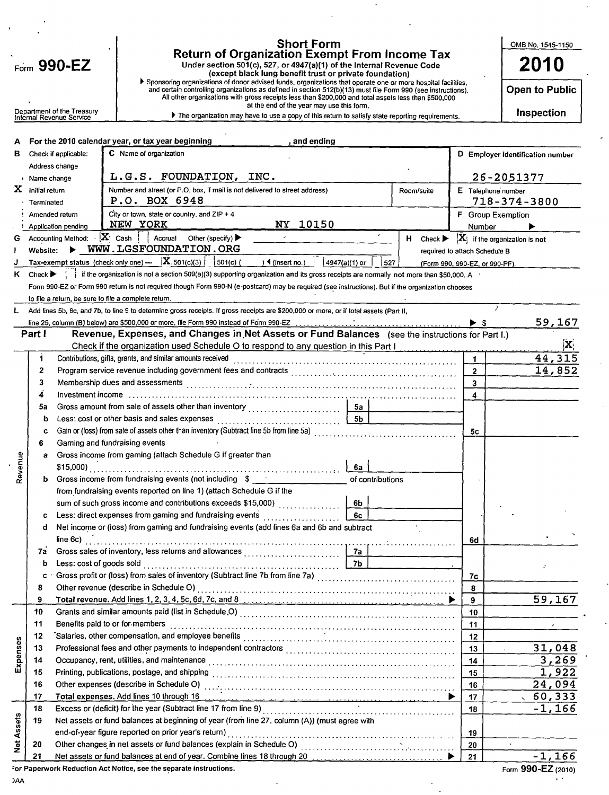| Form 990-EZ<br>Under section 501(c), 527, or 4947(a)(1) of the Internal Revenue Code<br>(except black lung benefit trust or private foundation)<br>Sponsoring organizations of donor advised funds, organizations that operate one or more hospital facilities,<br>and certain controlling organizations as defined in section 512(b)(13) must file Form 990 (see instructions).<br><b>Open to Public</b><br>All other organizations with gross receipts less than \$200,000 and total assets less than \$500,000<br>at the end of the year may use this form.<br>Department of the Treasury<br>Inspection<br>The organization may have to use a copy of this return to satisfy state reporting requirements.<br>Internal Revenue Service<br>For the 2010 calendar year, or tax year beginning<br>, and ending<br>C Name of organization<br>D Employer identification number<br>Check if applicable:<br>в<br>Address change<br>L.G.S. FOUNDATION, INC.<br>26-2051377<br>Name change<br>X.<br>Number and street (or P.O. box, if mail is not delivered to street address)<br>Initial return<br>E Telephone' number<br>Room/suite<br>P.O. BOX 6948<br>718-374-3800<br>Terminated<br>City or town, state or country, and $ZIP + 4$<br>F Group Exemption<br>Amended return<br>NEW YORK<br>NY 10150<br>Application pending<br>Number<br>Accounting Method: $\mathbf{X}$ : Cash<br>$\bar{\mathbf{X}}$ if the organization is not<br>Accrual Other (specify) ▶<br>H Check<br>G<br>WWW.LGSFOUNDATION.ORG<br>Website:<br>required to attach Schedule B<br>Tax-exempt status (check only one) $  \mathbf{X}_{0.501(c)(3)} $   501(c) (<br>$\sqrt{4}$ (insert no.)  <br>$(4947(a)(1)$ or<br>527<br>(Form 990, 990-EZ, or 990-PF).<br>Check $\blacktriangleright$ $\cdot$ if the organization is not a section 509(a)(3) supporting organization and its gross receipts are normally not more than \$50,000. A $\cdot$<br>ĸ<br>Form 990-EZ or Form 990 return is not required though Form 990-N (e-postcard) may be required (see instructions). But if the organization chooses<br>to file a return, be sure to file a complete return.<br>Add lines 5b, 6c, and 7b, to line 9 to determine gross receipts. If gross receipts are \$200,000 or more, or if total assets (Part II,<br>L<br>59,167<br>$\blacktriangleright$ s<br>Revenue, Expenses, and Changes in Net Assets or Fund Balances (see the instructions for Part I.)<br>Part I<br>$\mathbf{x}$<br>44,315<br>1<br>$\mathbf 1$<br>$\overline{2}$<br>14,852<br>2<br>3<br>$\overline{\mathbf{3}}$<br>4<br>$\boldsymbol{4}$<br>5a<br>b<br>5с<br>c<br>Gaming and fundraising events<br>6<br>Gross income from gaming (attach Schedule G if greater than<br>Revenue<br>a<br>6a  <br>Gross income from fundraising events (not including \$<br>b<br>of contributions<br>from fundraising events reported on line 1) (attach Schedule G if the<br>6b<br>sum of such gross income and contributions exceeds \$15,000)<br>.<br>6с<br>Less: direct expenses from gaming and fundraising events<br>c<br>Net income or (loss) from gaming and fundraising events (add lines 6a and 6b and subtract<br>d<br>6d<br>7a<br>b<br>с<br>7с<br>Other revenue (describe in Schedule O)<br>8<br>8<br>59,167<br>9<br>9<br>10<br>10<br>11<br>11<br>Salaries, other compensation, and employee benefits [111] with the content of the content of the compensation,<br>12<br>12<br>Expenses<br>31,048<br>13<br>13<br>3,269<br>14<br>14<br>1,922<br>15<br>15<br>24,094<br>16<br>16<br>60,333<br>Total expenses. Add lines 10 through 16<br>17<br>17<br>$-1,166$<br>18<br>18<br><b>Net Assets</b><br>Net assets or fund balances at beginning of year (from line 27, column (A)) (must agree with<br>19<br>end-of-year figure reported on prior year's return)<br>19<br>20<br>20<br>$-1, 166$<br>21<br>21<br>▶ |  |             | <b>Short Form</b><br><b>Return of Organization Exempt From Income Tax</b> | OMB No. 1545-1150  |
|----------------------------------------------------------------------------------------------------------------------------------------------------------------------------------------------------------------------------------------------------------------------------------------------------------------------------------------------------------------------------------------------------------------------------------------------------------------------------------------------------------------------------------------------------------------------------------------------------------------------------------------------------------------------------------------------------------------------------------------------------------------------------------------------------------------------------------------------------------------------------------------------------------------------------------------------------------------------------------------------------------------------------------------------------------------------------------------------------------------------------------------------------------------------------------------------------------------------------------------------------------------------------------------------------------------------------------------------------------------------------------------------------------------------------------------------------------------------------------------------------------------------------------------------------------------------------------------------------------------------------------------------------------------------------------------------------------------------------------------------------------------------------------------------------------------------------------------------------------------------------------------------------------------------------------------------------------------------------------------------------------------------------------------------------------------------------------------------------------------------------------------------------------------------------------------------------------------------------------------------------------------------------------------------------------------------------------------------------------------------------------------------------------------------------------------------------------------------------------------------------------------------------------------------------------------------------------------------------------------------------------------------------------------------------------------------------------------------------------------------------------------------------------------------------------------------------------------------------------------------------------------------------------------------------------------------------------------------------------------------------------------------------------------------------------------------------------------------------------------------------------------------------------------------------------------------------------------------------------------------------------------------------------------------------------------------------------------------------------------------------------------------------------------------------------------------------------------------------------------------------------------------------------------------------------------------------------------------------------------------------------------------------------------------------------------------------------------------------------------------------------------------------------------------------------------------------------|--|-------------|---------------------------------------------------------------------------|--------------------|
|                                                                                                                                                                                                                                                                                                                                                                                                                                                                                                                                                                                                                                                                                                                                                                                                                                                                                                                                                                                                                                                                                                                                                                                                                                                                                                                                                                                                                                                                                                                                                                                                                                                                                                                                                                                                                                                                                                                                                                                                                                                                                                                                                                                                                                                                                                                                                                                                                                                                                                                                                                                                                                                                                                                                                                                                                                                                                                                                                                                                                                                                                                                                                                                                                                                                                                                                                                                                                                                                                                                                                                                                                                                                                                                                                                                                                                  |  | <b>2010</b> |                                                                           |                    |
|                                                                                                                                                                                                                                                                                                                                                                                                                                                                                                                                                                                                                                                                                                                                                                                                                                                                                                                                                                                                                                                                                                                                                                                                                                                                                                                                                                                                                                                                                                                                                                                                                                                                                                                                                                                                                                                                                                                                                                                                                                                                                                                                                                                                                                                                                                                                                                                                                                                                                                                                                                                                                                                                                                                                                                                                                                                                                                                                                                                                                                                                                                                                                                                                                                                                                                                                                                                                                                                                                                                                                                                                                                                                                                                                                                                                                                  |  |             |                                                                           |                    |
|                                                                                                                                                                                                                                                                                                                                                                                                                                                                                                                                                                                                                                                                                                                                                                                                                                                                                                                                                                                                                                                                                                                                                                                                                                                                                                                                                                                                                                                                                                                                                                                                                                                                                                                                                                                                                                                                                                                                                                                                                                                                                                                                                                                                                                                                                                                                                                                                                                                                                                                                                                                                                                                                                                                                                                                                                                                                                                                                                                                                                                                                                                                                                                                                                                                                                                                                                                                                                                                                                                                                                                                                                                                                                                                                                                                                                                  |  |             |                                                                           |                    |
|                                                                                                                                                                                                                                                                                                                                                                                                                                                                                                                                                                                                                                                                                                                                                                                                                                                                                                                                                                                                                                                                                                                                                                                                                                                                                                                                                                                                                                                                                                                                                                                                                                                                                                                                                                                                                                                                                                                                                                                                                                                                                                                                                                                                                                                                                                                                                                                                                                                                                                                                                                                                                                                                                                                                                                                                                                                                                                                                                                                                                                                                                                                                                                                                                                                                                                                                                                                                                                                                                                                                                                                                                                                                                                                                                                                                                                  |  |             |                                                                           |                    |
|                                                                                                                                                                                                                                                                                                                                                                                                                                                                                                                                                                                                                                                                                                                                                                                                                                                                                                                                                                                                                                                                                                                                                                                                                                                                                                                                                                                                                                                                                                                                                                                                                                                                                                                                                                                                                                                                                                                                                                                                                                                                                                                                                                                                                                                                                                                                                                                                                                                                                                                                                                                                                                                                                                                                                                                                                                                                                                                                                                                                                                                                                                                                                                                                                                                                                                                                                                                                                                                                                                                                                                                                                                                                                                                                                                                                                                  |  |             |                                                                           |                    |
|                                                                                                                                                                                                                                                                                                                                                                                                                                                                                                                                                                                                                                                                                                                                                                                                                                                                                                                                                                                                                                                                                                                                                                                                                                                                                                                                                                                                                                                                                                                                                                                                                                                                                                                                                                                                                                                                                                                                                                                                                                                                                                                                                                                                                                                                                                                                                                                                                                                                                                                                                                                                                                                                                                                                                                                                                                                                                                                                                                                                                                                                                                                                                                                                                                                                                                                                                                                                                                                                                                                                                                                                                                                                                                                                                                                                                                  |  |             |                                                                           |                    |
|                                                                                                                                                                                                                                                                                                                                                                                                                                                                                                                                                                                                                                                                                                                                                                                                                                                                                                                                                                                                                                                                                                                                                                                                                                                                                                                                                                                                                                                                                                                                                                                                                                                                                                                                                                                                                                                                                                                                                                                                                                                                                                                                                                                                                                                                                                                                                                                                                                                                                                                                                                                                                                                                                                                                                                                                                                                                                                                                                                                                                                                                                                                                                                                                                                                                                                                                                                                                                                                                                                                                                                                                                                                                                                                                                                                                                                  |  |             |                                                                           |                    |
|                                                                                                                                                                                                                                                                                                                                                                                                                                                                                                                                                                                                                                                                                                                                                                                                                                                                                                                                                                                                                                                                                                                                                                                                                                                                                                                                                                                                                                                                                                                                                                                                                                                                                                                                                                                                                                                                                                                                                                                                                                                                                                                                                                                                                                                                                                                                                                                                                                                                                                                                                                                                                                                                                                                                                                                                                                                                                                                                                                                                                                                                                                                                                                                                                                                                                                                                                                                                                                                                                                                                                                                                                                                                                                                                                                                                                                  |  |             |                                                                           |                    |
|                                                                                                                                                                                                                                                                                                                                                                                                                                                                                                                                                                                                                                                                                                                                                                                                                                                                                                                                                                                                                                                                                                                                                                                                                                                                                                                                                                                                                                                                                                                                                                                                                                                                                                                                                                                                                                                                                                                                                                                                                                                                                                                                                                                                                                                                                                                                                                                                                                                                                                                                                                                                                                                                                                                                                                                                                                                                                                                                                                                                                                                                                                                                                                                                                                                                                                                                                                                                                                                                                                                                                                                                                                                                                                                                                                                                                                  |  |             |                                                                           |                    |
|                                                                                                                                                                                                                                                                                                                                                                                                                                                                                                                                                                                                                                                                                                                                                                                                                                                                                                                                                                                                                                                                                                                                                                                                                                                                                                                                                                                                                                                                                                                                                                                                                                                                                                                                                                                                                                                                                                                                                                                                                                                                                                                                                                                                                                                                                                                                                                                                                                                                                                                                                                                                                                                                                                                                                                                                                                                                                                                                                                                                                                                                                                                                                                                                                                                                                                                                                                                                                                                                                                                                                                                                                                                                                                                                                                                                                                  |  |             |                                                                           |                    |
|                                                                                                                                                                                                                                                                                                                                                                                                                                                                                                                                                                                                                                                                                                                                                                                                                                                                                                                                                                                                                                                                                                                                                                                                                                                                                                                                                                                                                                                                                                                                                                                                                                                                                                                                                                                                                                                                                                                                                                                                                                                                                                                                                                                                                                                                                                                                                                                                                                                                                                                                                                                                                                                                                                                                                                                                                                                                                                                                                                                                                                                                                                                                                                                                                                                                                                                                                                                                                                                                                                                                                                                                                                                                                                                                                                                                                                  |  |             |                                                                           |                    |
|                                                                                                                                                                                                                                                                                                                                                                                                                                                                                                                                                                                                                                                                                                                                                                                                                                                                                                                                                                                                                                                                                                                                                                                                                                                                                                                                                                                                                                                                                                                                                                                                                                                                                                                                                                                                                                                                                                                                                                                                                                                                                                                                                                                                                                                                                                                                                                                                                                                                                                                                                                                                                                                                                                                                                                                                                                                                                                                                                                                                                                                                                                                                                                                                                                                                                                                                                                                                                                                                                                                                                                                                                                                                                                                                                                                                                                  |  |             |                                                                           |                    |
|                                                                                                                                                                                                                                                                                                                                                                                                                                                                                                                                                                                                                                                                                                                                                                                                                                                                                                                                                                                                                                                                                                                                                                                                                                                                                                                                                                                                                                                                                                                                                                                                                                                                                                                                                                                                                                                                                                                                                                                                                                                                                                                                                                                                                                                                                                                                                                                                                                                                                                                                                                                                                                                                                                                                                                                                                                                                                                                                                                                                                                                                                                                                                                                                                                                                                                                                                                                                                                                                                                                                                                                                                                                                                                                                                                                                                                  |  |             |                                                                           |                    |
|                                                                                                                                                                                                                                                                                                                                                                                                                                                                                                                                                                                                                                                                                                                                                                                                                                                                                                                                                                                                                                                                                                                                                                                                                                                                                                                                                                                                                                                                                                                                                                                                                                                                                                                                                                                                                                                                                                                                                                                                                                                                                                                                                                                                                                                                                                                                                                                                                                                                                                                                                                                                                                                                                                                                                                                                                                                                                                                                                                                                                                                                                                                                                                                                                                                                                                                                                                                                                                                                                                                                                                                                                                                                                                                                                                                                                                  |  |             |                                                                           |                    |
|                                                                                                                                                                                                                                                                                                                                                                                                                                                                                                                                                                                                                                                                                                                                                                                                                                                                                                                                                                                                                                                                                                                                                                                                                                                                                                                                                                                                                                                                                                                                                                                                                                                                                                                                                                                                                                                                                                                                                                                                                                                                                                                                                                                                                                                                                                                                                                                                                                                                                                                                                                                                                                                                                                                                                                                                                                                                                                                                                                                                                                                                                                                                                                                                                                                                                                                                                                                                                                                                                                                                                                                                                                                                                                                                                                                                                                  |  |             |                                                                           |                    |
|                                                                                                                                                                                                                                                                                                                                                                                                                                                                                                                                                                                                                                                                                                                                                                                                                                                                                                                                                                                                                                                                                                                                                                                                                                                                                                                                                                                                                                                                                                                                                                                                                                                                                                                                                                                                                                                                                                                                                                                                                                                                                                                                                                                                                                                                                                                                                                                                                                                                                                                                                                                                                                                                                                                                                                                                                                                                                                                                                                                                                                                                                                                                                                                                                                                                                                                                                                                                                                                                                                                                                                                                                                                                                                                                                                                                                                  |  |             |                                                                           |                    |
|                                                                                                                                                                                                                                                                                                                                                                                                                                                                                                                                                                                                                                                                                                                                                                                                                                                                                                                                                                                                                                                                                                                                                                                                                                                                                                                                                                                                                                                                                                                                                                                                                                                                                                                                                                                                                                                                                                                                                                                                                                                                                                                                                                                                                                                                                                                                                                                                                                                                                                                                                                                                                                                                                                                                                                                                                                                                                                                                                                                                                                                                                                                                                                                                                                                                                                                                                                                                                                                                                                                                                                                                                                                                                                                                                                                                                                  |  |             |                                                                           |                    |
|                                                                                                                                                                                                                                                                                                                                                                                                                                                                                                                                                                                                                                                                                                                                                                                                                                                                                                                                                                                                                                                                                                                                                                                                                                                                                                                                                                                                                                                                                                                                                                                                                                                                                                                                                                                                                                                                                                                                                                                                                                                                                                                                                                                                                                                                                                                                                                                                                                                                                                                                                                                                                                                                                                                                                                                                                                                                                                                                                                                                                                                                                                                                                                                                                                                                                                                                                                                                                                                                                                                                                                                                                                                                                                                                                                                                                                  |  |             |                                                                           |                    |
|                                                                                                                                                                                                                                                                                                                                                                                                                                                                                                                                                                                                                                                                                                                                                                                                                                                                                                                                                                                                                                                                                                                                                                                                                                                                                                                                                                                                                                                                                                                                                                                                                                                                                                                                                                                                                                                                                                                                                                                                                                                                                                                                                                                                                                                                                                                                                                                                                                                                                                                                                                                                                                                                                                                                                                                                                                                                                                                                                                                                                                                                                                                                                                                                                                                                                                                                                                                                                                                                                                                                                                                                                                                                                                                                                                                                                                  |  |             |                                                                           |                    |
|                                                                                                                                                                                                                                                                                                                                                                                                                                                                                                                                                                                                                                                                                                                                                                                                                                                                                                                                                                                                                                                                                                                                                                                                                                                                                                                                                                                                                                                                                                                                                                                                                                                                                                                                                                                                                                                                                                                                                                                                                                                                                                                                                                                                                                                                                                                                                                                                                                                                                                                                                                                                                                                                                                                                                                                                                                                                                                                                                                                                                                                                                                                                                                                                                                                                                                                                                                                                                                                                                                                                                                                                                                                                                                                                                                                                                                  |  |             |                                                                           |                    |
|                                                                                                                                                                                                                                                                                                                                                                                                                                                                                                                                                                                                                                                                                                                                                                                                                                                                                                                                                                                                                                                                                                                                                                                                                                                                                                                                                                                                                                                                                                                                                                                                                                                                                                                                                                                                                                                                                                                                                                                                                                                                                                                                                                                                                                                                                                                                                                                                                                                                                                                                                                                                                                                                                                                                                                                                                                                                                                                                                                                                                                                                                                                                                                                                                                                                                                                                                                                                                                                                                                                                                                                                                                                                                                                                                                                                                                  |  |             |                                                                           |                    |
|                                                                                                                                                                                                                                                                                                                                                                                                                                                                                                                                                                                                                                                                                                                                                                                                                                                                                                                                                                                                                                                                                                                                                                                                                                                                                                                                                                                                                                                                                                                                                                                                                                                                                                                                                                                                                                                                                                                                                                                                                                                                                                                                                                                                                                                                                                                                                                                                                                                                                                                                                                                                                                                                                                                                                                                                                                                                                                                                                                                                                                                                                                                                                                                                                                                                                                                                                                                                                                                                                                                                                                                                                                                                                                                                                                                                                                  |  |             |                                                                           |                    |
|                                                                                                                                                                                                                                                                                                                                                                                                                                                                                                                                                                                                                                                                                                                                                                                                                                                                                                                                                                                                                                                                                                                                                                                                                                                                                                                                                                                                                                                                                                                                                                                                                                                                                                                                                                                                                                                                                                                                                                                                                                                                                                                                                                                                                                                                                                                                                                                                                                                                                                                                                                                                                                                                                                                                                                                                                                                                                                                                                                                                                                                                                                                                                                                                                                                                                                                                                                                                                                                                                                                                                                                                                                                                                                                                                                                                                                  |  |             |                                                                           |                    |
|                                                                                                                                                                                                                                                                                                                                                                                                                                                                                                                                                                                                                                                                                                                                                                                                                                                                                                                                                                                                                                                                                                                                                                                                                                                                                                                                                                                                                                                                                                                                                                                                                                                                                                                                                                                                                                                                                                                                                                                                                                                                                                                                                                                                                                                                                                                                                                                                                                                                                                                                                                                                                                                                                                                                                                                                                                                                                                                                                                                                                                                                                                                                                                                                                                                                                                                                                                                                                                                                                                                                                                                                                                                                                                                                                                                                                                  |  |             |                                                                           |                    |
|                                                                                                                                                                                                                                                                                                                                                                                                                                                                                                                                                                                                                                                                                                                                                                                                                                                                                                                                                                                                                                                                                                                                                                                                                                                                                                                                                                                                                                                                                                                                                                                                                                                                                                                                                                                                                                                                                                                                                                                                                                                                                                                                                                                                                                                                                                                                                                                                                                                                                                                                                                                                                                                                                                                                                                                                                                                                                                                                                                                                                                                                                                                                                                                                                                                                                                                                                                                                                                                                                                                                                                                                                                                                                                                                                                                                                                  |  |             |                                                                           |                    |
|                                                                                                                                                                                                                                                                                                                                                                                                                                                                                                                                                                                                                                                                                                                                                                                                                                                                                                                                                                                                                                                                                                                                                                                                                                                                                                                                                                                                                                                                                                                                                                                                                                                                                                                                                                                                                                                                                                                                                                                                                                                                                                                                                                                                                                                                                                                                                                                                                                                                                                                                                                                                                                                                                                                                                                                                                                                                                                                                                                                                                                                                                                                                                                                                                                                                                                                                                                                                                                                                                                                                                                                                                                                                                                                                                                                                                                  |  |             |                                                                           |                    |
|                                                                                                                                                                                                                                                                                                                                                                                                                                                                                                                                                                                                                                                                                                                                                                                                                                                                                                                                                                                                                                                                                                                                                                                                                                                                                                                                                                                                                                                                                                                                                                                                                                                                                                                                                                                                                                                                                                                                                                                                                                                                                                                                                                                                                                                                                                                                                                                                                                                                                                                                                                                                                                                                                                                                                                                                                                                                                                                                                                                                                                                                                                                                                                                                                                                                                                                                                                                                                                                                                                                                                                                                                                                                                                                                                                                                                                  |  |             |                                                                           |                    |
|                                                                                                                                                                                                                                                                                                                                                                                                                                                                                                                                                                                                                                                                                                                                                                                                                                                                                                                                                                                                                                                                                                                                                                                                                                                                                                                                                                                                                                                                                                                                                                                                                                                                                                                                                                                                                                                                                                                                                                                                                                                                                                                                                                                                                                                                                                                                                                                                                                                                                                                                                                                                                                                                                                                                                                                                                                                                                                                                                                                                                                                                                                                                                                                                                                                                                                                                                                                                                                                                                                                                                                                                                                                                                                                                                                                                                                  |  |             |                                                                           |                    |
|                                                                                                                                                                                                                                                                                                                                                                                                                                                                                                                                                                                                                                                                                                                                                                                                                                                                                                                                                                                                                                                                                                                                                                                                                                                                                                                                                                                                                                                                                                                                                                                                                                                                                                                                                                                                                                                                                                                                                                                                                                                                                                                                                                                                                                                                                                                                                                                                                                                                                                                                                                                                                                                                                                                                                                                                                                                                                                                                                                                                                                                                                                                                                                                                                                                                                                                                                                                                                                                                                                                                                                                                                                                                                                                                                                                                                                  |  |             |                                                                           |                    |
|                                                                                                                                                                                                                                                                                                                                                                                                                                                                                                                                                                                                                                                                                                                                                                                                                                                                                                                                                                                                                                                                                                                                                                                                                                                                                                                                                                                                                                                                                                                                                                                                                                                                                                                                                                                                                                                                                                                                                                                                                                                                                                                                                                                                                                                                                                                                                                                                                                                                                                                                                                                                                                                                                                                                                                                                                                                                                                                                                                                                                                                                                                                                                                                                                                                                                                                                                                                                                                                                                                                                                                                                                                                                                                                                                                                                                                  |  |             |                                                                           |                    |
|                                                                                                                                                                                                                                                                                                                                                                                                                                                                                                                                                                                                                                                                                                                                                                                                                                                                                                                                                                                                                                                                                                                                                                                                                                                                                                                                                                                                                                                                                                                                                                                                                                                                                                                                                                                                                                                                                                                                                                                                                                                                                                                                                                                                                                                                                                                                                                                                                                                                                                                                                                                                                                                                                                                                                                                                                                                                                                                                                                                                                                                                                                                                                                                                                                                                                                                                                                                                                                                                                                                                                                                                                                                                                                                                                                                                                                  |  |             |                                                                           |                    |
|                                                                                                                                                                                                                                                                                                                                                                                                                                                                                                                                                                                                                                                                                                                                                                                                                                                                                                                                                                                                                                                                                                                                                                                                                                                                                                                                                                                                                                                                                                                                                                                                                                                                                                                                                                                                                                                                                                                                                                                                                                                                                                                                                                                                                                                                                                                                                                                                                                                                                                                                                                                                                                                                                                                                                                                                                                                                                                                                                                                                                                                                                                                                                                                                                                                                                                                                                                                                                                                                                                                                                                                                                                                                                                                                                                                                                                  |  |             |                                                                           |                    |
|                                                                                                                                                                                                                                                                                                                                                                                                                                                                                                                                                                                                                                                                                                                                                                                                                                                                                                                                                                                                                                                                                                                                                                                                                                                                                                                                                                                                                                                                                                                                                                                                                                                                                                                                                                                                                                                                                                                                                                                                                                                                                                                                                                                                                                                                                                                                                                                                                                                                                                                                                                                                                                                                                                                                                                                                                                                                                                                                                                                                                                                                                                                                                                                                                                                                                                                                                                                                                                                                                                                                                                                                                                                                                                                                                                                                                                  |  |             |                                                                           |                    |
|                                                                                                                                                                                                                                                                                                                                                                                                                                                                                                                                                                                                                                                                                                                                                                                                                                                                                                                                                                                                                                                                                                                                                                                                                                                                                                                                                                                                                                                                                                                                                                                                                                                                                                                                                                                                                                                                                                                                                                                                                                                                                                                                                                                                                                                                                                                                                                                                                                                                                                                                                                                                                                                                                                                                                                                                                                                                                                                                                                                                                                                                                                                                                                                                                                                                                                                                                                                                                                                                                                                                                                                                                                                                                                                                                                                                                                  |  |             |                                                                           |                    |
|                                                                                                                                                                                                                                                                                                                                                                                                                                                                                                                                                                                                                                                                                                                                                                                                                                                                                                                                                                                                                                                                                                                                                                                                                                                                                                                                                                                                                                                                                                                                                                                                                                                                                                                                                                                                                                                                                                                                                                                                                                                                                                                                                                                                                                                                                                                                                                                                                                                                                                                                                                                                                                                                                                                                                                                                                                                                                                                                                                                                                                                                                                                                                                                                                                                                                                                                                                                                                                                                                                                                                                                                                                                                                                                                                                                                                                  |  |             |                                                                           |                    |
|                                                                                                                                                                                                                                                                                                                                                                                                                                                                                                                                                                                                                                                                                                                                                                                                                                                                                                                                                                                                                                                                                                                                                                                                                                                                                                                                                                                                                                                                                                                                                                                                                                                                                                                                                                                                                                                                                                                                                                                                                                                                                                                                                                                                                                                                                                                                                                                                                                                                                                                                                                                                                                                                                                                                                                                                                                                                                                                                                                                                                                                                                                                                                                                                                                                                                                                                                                                                                                                                                                                                                                                                                                                                                                                                                                                                                                  |  |             |                                                                           |                    |
|                                                                                                                                                                                                                                                                                                                                                                                                                                                                                                                                                                                                                                                                                                                                                                                                                                                                                                                                                                                                                                                                                                                                                                                                                                                                                                                                                                                                                                                                                                                                                                                                                                                                                                                                                                                                                                                                                                                                                                                                                                                                                                                                                                                                                                                                                                                                                                                                                                                                                                                                                                                                                                                                                                                                                                                                                                                                                                                                                                                                                                                                                                                                                                                                                                                                                                                                                                                                                                                                                                                                                                                                                                                                                                                                                                                                                                  |  |             |                                                                           |                    |
|                                                                                                                                                                                                                                                                                                                                                                                                                                                                                                                                                                                                                                                                                                                                                                                                                                                                                                                                                                                                                                                                                                                                                                                                                                                                                                                                                                                                                                                                                                                                                                                                                                                                                                                                                                                                                                                                                                                                                                                                                                                                                                                                                                                                                                                                                                                                                                                                                                                                                                                                                                                                                                                                                                                                                                                                                                                                                                                                                                                                                                                                                                                                                                                                                                                                                                                                                                                                                                                                                                                                                                                                                                                                                                                                                                                                                                  |  |             |                                                                           |                    |
|                                                                                                                                                                                                                                                                                                                                                                                                                                                                                                                                                                                                                                                                                                                                                                                                                                                                                                                                                                                                                                                                                                                                                                                                                                                                                                                                                                                                                                                                                                                                                                                                                                                                                                                                                                                                                                                                                                                                                                                                                                                                                                                                                                                                                                                                                                                                                                                                                                                                                                                                                                                                                                                                                                                                                                                                                                                                                                                                                                                                                                                                                                                                                                                                                                                                                                                                                                                                                                                                                                                                                                                                                                                                                                                                                                                                                                  |  |             |                                                                           |                    |
|                                                                                                                                                                                                                                                                                                                                                                                                                                                                                                                                                                                                                                                                                                                                                                                                                                                                                                                                                                                                                                                                                                                                                                                                                                                                                                                                                                                                                                                                                                                                                                                                                                                                                                                                                                                                                                                                                                                                                                                                                                                                                                                                                                                                                                                                                                                                                                                                                                                                                                                                                                                                                                                                                                                                                                                                                                                                                                                                                                                                                                                                                                                                                                                                                                                                                                                                                                                                                                                                                                                                                                                                                                                                                                                                                                                                                                  |  |             |                                                                           |                    |
|                                                                                                                                                                                                                                                                                                                                                                                                                                                                                                                                                                                                                                                                                                                                                                                                                                                                                                                                                                                                                                                                                                                                                                                                                                                                                                                                                                                                                                                                                                                                                                                                                                                                                                                                                                                                                                                                                                                                                                                                                                                                                                                                                                                                                                                                                                                                                                                                                                                                                                                                                                                                                                                                                                                                                                                                                                                                                                                                                                                                                                                                                                                                                                                                                                                                                                                                                                                                                                                                                                                                                                                                                                                                                                                                                                                                                                  |  |             |                                                                           |                    |
|                                                                                                                                                                                                                                                                                                                                                                                                                                                                                                                                                                                                                                                                                                                                                                                                                                                                                                                                                                                                                                                                                                                                                                                                                                                                                                                                                                                                                                                                                                                                                                                                                                                                                                                                                                                                                                                                                                                                                                                                                                                                                                                                                                                                                                                                                                                                                                                                                                                                                                                                                                                                                                                                                                                                                                                                                                                                                                                                                                                                                                                                                                                                                                                                                                                                                                                                                                                                                                                                                                                                                                                                                                                                                                                                                                                                                                  |  |             |                                                                           |                    |
|                                                                                                                                                                                                                                                                                                                                                                                                                                                                                                                                                                                                                                                                                                                                                                                                                                                                                                                                                                                                                                                                                                                                                                                                                                                                                                                                                                                                                                                                                                                                                                                                                                                                                                                                                                                                                                                                                                                                                                                                                                                                                                                                                                                                                                                                                                                                                                                                                                                                                                                                                                                                                                                                                                                                                                                                                                                                                                                                                                                                                                                                                                                                                                                                                                                                                                                                                                                                                                                                                                                                                                                                                                                                                                                                                                                                                                  |  |             |                                                                           |                    |
|                                                                                                                                                                                                                                                                                                                                                                                                                                                                                                                                                                                                                                                                                                                                                                                                                                                                                                                                                                                                                                                                                                                                                                                                                                                                                                                                                                                                                                                                                                                                                                                                                                                                                                                                                                                                                                                                                                                                                                                                                                                                                                                                                                                                                                                                                                                                                                                                                                                                                                                                                                                                                                                                                                                                                                                                                                                                                                                                                                                                                                                                                                                                                                                                                                                                                                                                                                                                                                                                                                                                                                                                                                                                                                                                                                                                                                  |  |             |                                                                           |                    |
|                                                                                                                                                                                                                                                                                                                                                                                                                                                                                                                                                                                                                                                                                                                                                                                                                                                                                                                                                                                                                                                                                                                                                                                                                                                                                                                                                                                                                                                                                                                                                                                                                                                                                                                                                                                                                                                                                                                                                                                                                                                                                                                                                                                                                                                                                                                                                                                                                                                                                                                                                                                                                                                                                                                                                                                                                                                                                                                                                                                                                                                                                                                                                                                                                                                                                                                                                                                                                                                                                                                                                                                                                                                                                                                                                                                                                                  |  |             |                                                                           |                    |
|                                                                                                                                                                                                                                                                                                                                                                                                                                                                                                                                                                                                                                                                                                                                                                                                                                                                                                                                                                                                                                                                                                                                                                                                                                                                                                                                                                                                                                                                                                                                                                                                                                                                                                                                                                                                                                                                                                                                                                                                                                                                                                                                                                                                                                                                                                                                                                                                                                                                                                                                                                                                                                                                                                                                                                                                                                                                                                                                                                                                                                                                                                                                                                                                                                                                                                                                                                                                                                                                                                                                                                                                                                                                                                                                                                                                                                  |  |             |                                                                           |                    |
|                                                                                                                                                                                                                                                                                                                                                                                                                                                                                                                                                                                                                                                                                                                                                                                                                                                                                                                                                                                                                                                                                                                                                                                                                                                                                                                                                                                                                                                                                                                                                                                                                                                                                                                                                                                                                                                                                                                                                                                                                                                                                                                                                                                                                                                                                                                                                                                                                                                                                                                                                                                                                                                                                                                                                                                                                                                                                                                                                                                                                                                                                                                                                                                                                                                                                                                                                                                                                                                                                                                                                                                                                                                                                                                                                                                                                                  |  |             |                                                                           |                    |
|                                                                                                                                                                                                                                                                                                                                                                                                                                                                                                                                                                                                                                                                                                                                                                                                                                                                                                                                                                                                                                                                                                                                                                                                                                                                                                                                                                                                                                                                                                                                                                                                                                                                                                                                                                                                                                                                                                                                                                                                                                                                                                                                                                                                                                                                                                                                                                                                                                                                                                                                                                                                                                                                                                                                                                                                                                                                                                                                                                                                                                                                                                                                                                                                                                                                                                                                                                                                                                                                                                                                                                                                                                                                                                                                                                                                                                  |  |             |                                                                           |                    |
|                                                                                                                                                                                                                                                                                                                                                                                                                                                                                                                                                                                                                                                                                                                                                                                                                                                                                                                                                                                                                                                                                                                                                                                                                                                                                                                                                                                                                                                                                                                                                                                                                                                                                                                                                                                                                                                                                                                                                                                                                                                                                                                                                                                                                                                                                                                                                                                                                                                                                                                                                                                                                                                                                                                                                                                                                                                                                                                                                                                                                                                                                                                                                                                                                                                                                                                                                                                                                                                                                                                                                                                                                                                                                                                                                                                                                                  |  |             |                                                                           |                    |
|                                                                                                                                                                                                                                                                                                                                                                                                                                                                                                                                                                                                                                                                                                                                                                                                                                                                                                                                                                                                                                                                                                                                                                                                                                                                                                                                                                                                                                                                                                                                                                                                                                                                                                                                                                                                                                                                                                                                                                                                                                                                                                                                                                                                                                                                                                                                                                                                                                                                                                                                                                                                                                                                                                                                                                                                                                                                                                                                                                                                                                                                                                                                                                                                                                                                                                                                                                                                                                                                                                                                                                                                                                                                                                                                                                                                                                  |  |             |                                                                           |                    |
|                                                                                                                                                                                                                                                                                                                                                                                                                                                                                                                                                                                                                                                                                                                                                                                                                                                                                                                                                                                                                                                                                                                                                                                                                                                                                                                                                                                                                                                                                                                                                                                                                                                                                                                                                                                                                                                                                                                                                                                                                                                                                                                                                                                                                                                                                                                                                                                                                                                                                                                                                                                                                                                                                                                                                                                                                                                                                                                                                                                                                                                                                                                                                                                                                                                                                                                                                                                                                                                                                                                                                                                                                                                                                                                                                                                                                                  |  |             |                                                                           |                    |
| For Paperwork Reduction Act Notice, see the separate instructions.                                                                                                                                                                                                                                                                                                                                                                                                                                                                                                                                                                                                                                                                                                                                                                                                                                                                                                                                                                                                                                                                                                                                                                                                                                                                                                                                                                                                                                                                                                                                                                                                                                                                                                                                                                                                                                                                                                                                                                                                                                                                                                                                                                                                                                                                                                                                                                                                                                                                                                                                                                                                                                                                                                                                                                                                                                                                                                                                                                                                                                                                                                                                                                                                                                                                                                                                                                                                                                                                                                                                                                                                                                                                                                                                                               |  |             |                                                                           | Form 990-EZ (2010) |

)AA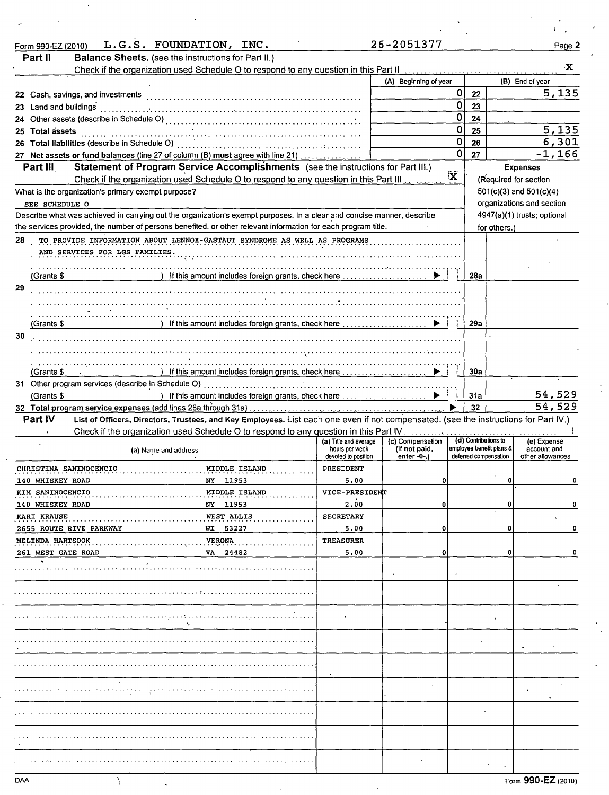| Form 990-EZ (2010)                                 | L.G.S. FOUNDATION, INC.                                                                                                                                                                           |                                       | 26-2051377                      |              |                                                   | Page 2                                                   |
|----------------------------------------------------|---------------------------------------------------------------------------------------------------------------------------------------------------------------------------------------------------|---------------------------------------|---------------------------------|--------------|---------------------------------------------------|----------------------------------------------------------|
| Part II                                            | Balance Sheets. (see the instructions for Part II.)                                                                                                                                               |                                       |                                 |              |                                                   |                                                          |
|                                                    | Check if the organization used Schedule O to respond to any question in this Part II [1] [1] [1] [1] [1] [1] Check if the organization used Schedule O to respond to any question in this Part II |                                       |                                 |              |                                                   | Σ×.                                                      |
|                                                    |                                                                                                                                                                                                   |                                       | (A) Beginning of year           |              |                                                   | (B) End of year                                          |
|                                                    |                                                                                                                                                                                                   |                                       |                                 | 0            | 22                                                | 5,135                                                    |
| 23 Land and buildings                              |                                                                                                                                                                                                   |                                       |                                 | 0            | 23                                                |                                                          |
|                                                    |                                                                                                                                                                                                   |                                       |                                 | $\mathbf 0$  | 24                                                |                                                          |
| 25 Total assets                                    |                                                                                                                                                                                                   |                                       |                                 | 0            | 25                                                | 5,135                                                    |
|                                                    |                                                                                                                                                                                                   |                                       |                                 | 0            | 26                                                | 6,301                                                    |
|                                                    | 27 Net assets or fund balances (line 27 of column (B) must agree with line 21)                                                                                                                    |                                       |                                 | $\mathbf{0}$ | 27                                                | $-1,166$                                                 |
| Part III                                           | Statement of Program Service Accomplishments (see the instructions for Part III.)                                                                                                                 |                                       |                                 | ĺΧ           |                                                   | <b>Expenses</b>                                          |
|                                                    | Check if the organization used Schedule O to respond to any question in this Part III                                                                                                             |                                       |                                 |              | (Required for section                             |                                                          |
| What is the organization's primary exempt purpose? |                                                                                                                                                                                                   |                                       |                                 |              |                                                   | $501(c)(3)$ and $501(c)(4)$<br>organizations and section |
| SEE SCHEDULE O                                     | Describe what was achieved in carrying out the organization's exempt purposes. In a clear and concise manner, describe                                                                            |                                       |                                 |              |                                                   | 4947(a)(1) trusts; optional                              |
|                                                    | the services provided, the number of persons benefited, or other relevant information for each program title.                                                                                     |                                       |                                 |              | for others.)                                      |                                                          |
| 28                                                 | TO PROVIDE INFORMATION ABOUT LENNOX-GASTAUT SYNDROME AS WELL AS PROGRAMS                                                                                                                          |                                       |                                 |              |                                                   |                                                          |
| AND SERVICES FOR LGS FAMILIES.                     |                                                                                                                                                                                                   |                                       |                                 |              |                                                   |                                                          |
|                                                    |                                                                                                                                                                                                   |                                       |                                 |              |                                                   |                                                          |
| (Grants \$                                         |                                                                                                                                                                                                   |                                       |                                 |              | 28a                                               |                                                          |
| 29                                                 |                                                                                                                                                                                                   |                                       |                                 |              |                                                   |                                                          |
|                                                    |                                                                                                                                                                                                   |                                       |                                 |              |                                                   |                                                          |
|                                                    |                                                                                                                                                                                                   |                                       |                                 |              |                                                   |                                                          |
| (Grants \$                                         | $\blacksquare$ ) If this amount includes foreign grants, check here $\ldots$ $\ldots$ $\ldots$ $\ldots$                                                                                           |                                       |                                 |              | 29a                                               |                                                          |
| 30                                                 |                                                                                                                                                                                                   |                                       |                                 |              |                                                   |                                                          |
|                                                    |                                                                                                                                                                                                   |                                       |                                 |              |                                                   |                                                          |
|                                                    |                                                                                                                                                                                                   |                                       |                                 |              |                                                   |                                                          |
| (Grants \$                                         | $\blacksquare$ $\blacksquare$ If this amount includes foreign grants, check here $\ldots$ $\blacksquare$                                                                                          |                                       |                                 |              | 30a                                               |                                                          |
|                                                    |                                                                                                                                                                                                   |                                       |                                 |              |                                                   |                                                          |
| (Grants \$                                         | ) If this amount includes foreign grants, check here contained and this amount                                                                                                                    |                                       | $\blacktriangleright$           |              | 31a                                               | 54,529                                                   |
|                                                    |                                                                                                                                                                                                   |                                       |                                 |              | 32                                                | 54,529                                                   |
| Part IV                                            | List of Officers, Directors, Trustees, and Key Employees. List each one even if not compensated. (see the instructions for Part IV.)                                                              |                                       |                                 |              |                                                   |                                                          |
|                                                    | Check if the organization used Schedule O to respond to any question in this Part IV                                                                                                              | (a) Title and average                 | (c) Compensation                |              | (d) Contributions to                              | (e) Expense                                              |
|                                                    | (a) Name and address                                                                                                                                                                              | hours per week<br>devoted to position | (If not paid,<br>enter $-0$ -.) |              | employee benefit plans &<br>deferred compensation | account and<br>other allowances                          |
| CHRISTINA SANINOCENCIO                             | MIDDLE ISLAND                                                                                                                                                                                     | PRESIDENT                             |                                 |              |                                                   |                                                          |
| 140 WHISKEY ROAD                                   | NY 11953                                                                                                                                                                                          | 5.00                                  |                                 |              |                                                   |                                                          |
| KIM SANINOCENCIO                                   | MIDDLE ISLAND                                                                                                                                                                                     | VICE-PRESIDENT                        |                                 |              |                                                   |                                                          |
| 140 WHISKEY ROAD                                   | NY 11953                                                                                                                                                                                          | 2.00                                  |                                 |              |                                                   |                                                          |
| KARI KRAUSE                                        | WEST ALLIS                                                                                                                                                                                        | <b>SECRETARY</b>                      |                                 |              |                                                   |                                                          |
| 2655 ROUTE RIVE PARKWAY                            | WI 53227                                                                                                                                                                                          | 5.00                                  |                                 |              |                                                   | 0                                                        |
| MELINDA HARTSOOK                                   | <b>VERONA</b>                                                                                                                                                                                     | <b>TREASURER</b>                      |                                 |              |                                                   |                                                          |
| 261 WEST GATE ROAD                                 | VA 24482                                                                                                                                                                                          | 5.00                                  |                                 |              |                                                   |                                                          |
|                                                    |                                                                                                                                                                                                   |                                       |                                 |              |                                                   |                                                          |
|                                                    |                                                                                                                                                                                                   |                                       |                                 |              |                                                   |                                                          |
|                                                    |                                                                                                                                                                                                   |                                       |                                 |              |                                                   |                                                          |
|                                                    |                                                                                                                                                                                                   |                                       |                                 |              |                                                   |                                                          |
|                                                    |                                                                                                                                                                                                   |                                       |                                 |              |                                                   |                                                          |
|                                                    |                                                                                                                                                                                                   |                                       |                                 |              |                                                   |                                                          |
|                                                    |                                                                                                                                                                                                   |                                       |                                 |              |                                                   |                                                          |
|                                                    |                                                                                                                                                                                                   |                                       |                                 |              |                                                   |                                                          |
|                                                    |                                                                                                                                                                                                   |                                       |                                 |              |                                                   |                                                          |
|                                                    |                                                                                                                                                                                                   |                                       |                                 |              |                                                   |                                                          |
|                                                    |                                                                                                                                                                                                   |                                       |                                 |              |                                                   |                                                          |
|                                                    |                                                                                                                                                                                                   |                                       |                                 |              |                                                   |                                                          |
|                                                    |                                                                                                                                                                                                   |                                       |                                 |              |                                                   |                                                          |
|                                                    |                                                                                                                                                                                                   |                                       |                                 |              |                                                   |                                                          |
|                                                    |                                                                                                                                                                                                   |                                       |                                 |              |                                                   |                                                          |
|                                                    |                                                                                                                                                                                                   |                                       |                                 |              |                                                   |                                                          |
|                                                    |                                                                                                                                                                                                   |                                       |                                 |              |                                                   |                                                          |
|                                                    |                                                                                                                                                                                                   |                                       |                                 |              |                                                   |                                                          |
| DAA                                                |                                                                                                                                                                                                   |                                       |                                 |              |                                                   | Form 990-EZ (2010)                                       |

 $\mathbf{F}_{\text{max}}$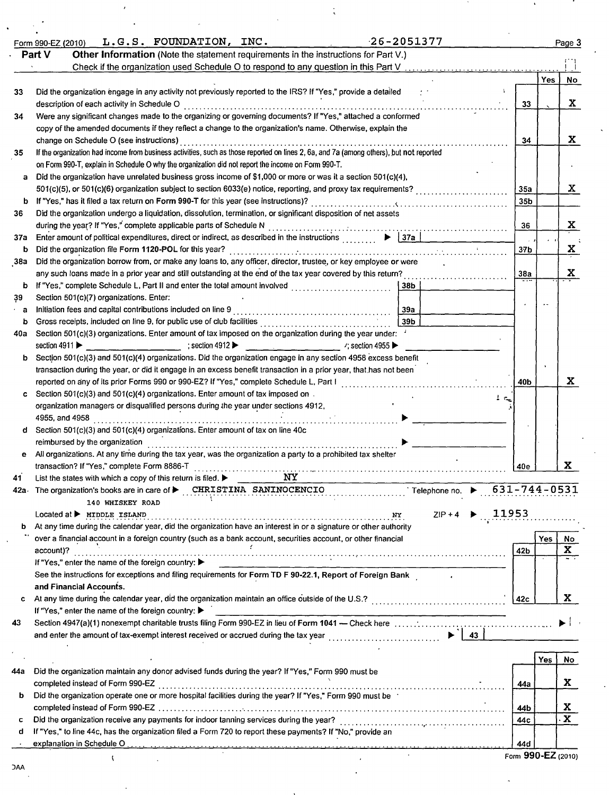|            | $-26 - 2051377$<br>L.G.S. FOUNDATION, INC.<br>Form 990-EZ (2010)                                                                                                                                                                                                                                                                                         |     |     | Page 3       |
|------------|----------------------------------------------------------------------------------------------------------------------------------------------------------------------------------------------------------------------------------------------------------------------------------------------------------------------------------------------------------|-----|-----|--------------|
|            | Other Information (Note the statement requirements in the instructions for Part V.)<br>Part V                                                                                                                                                                                                                                                            |     |     |              |
|            |                                                                                                                                                                                                                                                                                                                                                          |     |     |              |
|            |                                                                                                                                                                                                                                                                                                                                                          |     | Yes | No           |
| 33         | Did the organization engage in any activity not previously reported to the IRS? If "Yes," provide a detailed<br>description of each activity in Schedule O                                                                                                                                                                                               | 33  |     | X            |
| 34         | Were any significant changes made to the organizing or governing documents? If "Yes," attached a conformed                                                                                                                                                                                                                                               |     |     |              |
|            | copy of the amended documents if they reflect a change to the organization's name. Otherwise, explain the                                                                                                                                                                                                                                                |     |     |              |
|            | change on Schedule O (see instructions)                                                                                                                                                                                                                                                                                                                  | 34  |     | X            |
| 35         | If the organization had income from business activities, such as those reported on lines 2, 6a, and 7a (among others), but not reported                                                                                                                                                                                                                  |     |     |              |
|            | on Form 990-T, explain in Schedule O why the organization did not report the income on Form 990-T.                                                                                                                                                                                                                                                       |     |     |              |
| a          | Did the organization have unrelated business gross income of \$1,000 or more or was it a section 501(c)(4),                                                                                                                                                                                                                                              |     |     |              |
|            | 501(c)(5), or 501(c)(6) organization subject to section 6033(e) notice, reporting, and proxy tax requirements?                                                                                                                                                                                                                                           | 35a |     | X            |
| b<br>36    | If "Yes," has it filed a tax return on Form 990-T for this year (see instructions)?<br>Did the organization undergo a liquidation, dissolution, termination, or significant disposition of net assets                                                                                                                                                    | 35b |     |              |
|            |                                                                                                                                                                                                                                                                                                                                                          | 36  |     | X            |
| 37а        | $\blacktriangleright$   37a  <br>Enter amount of political expenditures, direct or indirect, as described in the instructions                                                                                                                                                                                                                            |     |     |              |
| b          | Did the organization file Form 1120-POL for this year?                                                                                                                                                                                                                                                                                                   | 37b |     | X            |
| 38a        | Did the organization borrow from, or make any loans to, any officer, director, trustee, or key employee or were                                                                                                                                                                                                                                          |     |     |              |
|            | any such loans made in a prior year and still outstanding at the end of the tax year covered by this return?                                                                                                                                                                                                                                             | 38a |     | $\mathbf x$  |
| b          | 38b                                                                                                                                                                                                                                                                                                                                                      |     |     |              |
| 39         | Section 501(c)(7) organizations. Enter:                                                                                                                                                                                                                                                                                                                  |     |     |              |
| a          | 39a                                                                                                                                                                                                                                                                                                                                                      |     |     |              |
| b          | 39 <sub>b</sub>                                                                                                                                                                                                                                                                                                                                          |     |     |              |
| 40a        | Section 501(c)(3) organizations. Enter amount of tax imposed on the organization during the year under: $\frac{1}{2}$<br>section 4911<br>$\overline{\phantom{a}}$ $\overline{\phantom{a}}$ $\overline{\phantom{a}}$ $\overline{\phantom{a}}$ $\overline{\phantom{a}}$ $\overline{\phantom{a}}$ $\overline{\phantom{a}}$ section 4955<br>$:$ section 4912 |     |     |              |
| b          | Section 501(c)(3) and 501(c)(4) organizations. Did the organization engage in any section 4958 excess benefit                                                                                                                                                                                                                                            |     |     |              |
|            | transaction during the year, or did it engage in an excess benefit transaction in a prior year, that has not been                                                                                                                                                                                                                                        |     |     |              |
|            | reported on any of its prior Forms 990 or 990-EZ? If "Yes," complete Schedule L, Part I                                                                                                                                                                                                                                                                  | 40b |     | X            |
| c          | Section 501(c)(3) and 501(c)(4) organizations. Enter amount of tax imposed on.                                                                                                                                                                                                                                                                           |     |     |              |
|            | $1/\tau_{\rm eq}$<br>organization managers or disqualified persons during the year under sections 4912,                                                                                                                                                                                                                                                  |     |     |              |
|            | 4955, and 4958                                                                                                                                                                                                                                                                                                                                           |     |     |              |
| d          | Section 501(c)(3) and 501(c)(4) organizations. Enter amount of tax on line 40c                                                                                                                                                                                                                                                                           |     |     |              |
|            | reimbursed by the organization                                                                                                                                                                                                                                                                                                                           |     |     |              |
| е          | All organizations. At any time during the tax year, was the organization a party to a prohibited tax shelter                                                                                                                                                                                                                                             |     |     |              |
|            | transaction? If "Yes," complete Form 8886-T                                                                                                                                                                                                                                                                                                              | 40e |     | X.           |
| 41<br>42a. | List the states with which a copy of this return is filed. $\blacktriangleright$ $\mathbf{NY}$<br>The organization's books are in care of $\blacktriangleright$ CHRISTINA SANINOCENCIO Telephone no. $\blacktriangleright$ 631-744-0531                                                                                                                  |     |     |              |
|            | 140 WHISKEY ROAD                                                                                                                                                                                                                                                                                                                                         |     |     |              |
|            | $ZIP + 4$ ▶ 11953<br>$Localed$ at $\blacktriangleright$ MIDDLE ISLAND                                                                                                                                                                                                                                                                                    |     |     |              |
|            | At any time during the calendar year, did the organization have an interest in or a signature or other authority                                                                                                                                                                                                                                         |     |     |              |
|            | over a financial account in a foreign country (such as a bank account, securities account, or other financial                                                                                                                                                                                                                                            |     | Yes | No.          |
|            | account)?                                                                                                                                                                                                                                                                                                                                                | 42b |     | $\mathbf{x}$ |
|            | If "Yes," enter the name of the foreign country: ▶                                                                                                                                                                                                                                                                                                       |     |     |              |
|            | See the instructions for exceptions and filing requirements for Form TD F 90-22.1, Report of Foreign Bank                                                                                                                                                                                                                                                |     |     |              |
|            | and Financial Accounts.                                                                                                                                                                                                                                                                                                                                  |     |     |              |
| c          |                                                                                                                                                                                                                                                                                                                                                          | 42c |     | X.           |
| 43         | If "Yes," enter the name of the foreign country: ▶                                                                                                                                                                                                                                                                                                       |     |     |              |
|            | $\blacktriangleright$   43  <br>and enter the amount of tax-exempt interest received or accrued during the tax year                                                                                                                                                                                                                                      |     |     |              |
|            |                                                                                                                                                                                                                                                                                                                                                          |     |     |              |
|            |                                                                                                                                                                                                                                                                                                                                                          |     | Yes | No           |
|            |                                                                                                                                                                                                                                                                                                                                                          |     |     |              |
|            |                                                                                                                                                                                                                                                                                                                                                          |     |     |              |
|            | Did the organization maintain any donor advised funds during the year? If "Yes," Form 990 must be<br>completed instead of Form 990-EZ                                                                                                                                                                                                                    | 44a |     | X            |
| b          | Did the organization operate one or more hospital facilities during the year? If "Yes," Form 990 must be '                                                                                                                                                                                                                                               |     |     |              |
| 44a        |                                                                                                                                                                                                                                                                                                                                                          | 44b |     | X            |
| c          | Did the organization receive any payments for indoor tanning services during the year?                                                                                                                                                                                                                                                                   | 44c |     | $\mathbf{x}$ |
| d          | If "Yes," to line 44c, has the organization filed a Form 720 to report these payments? If "No," provide an<br>explanation in Schedule O with the content of the content of the content of the content of the content of the content of the content of the content of the content of the content of the content of the content of the content             | 44d |     |              |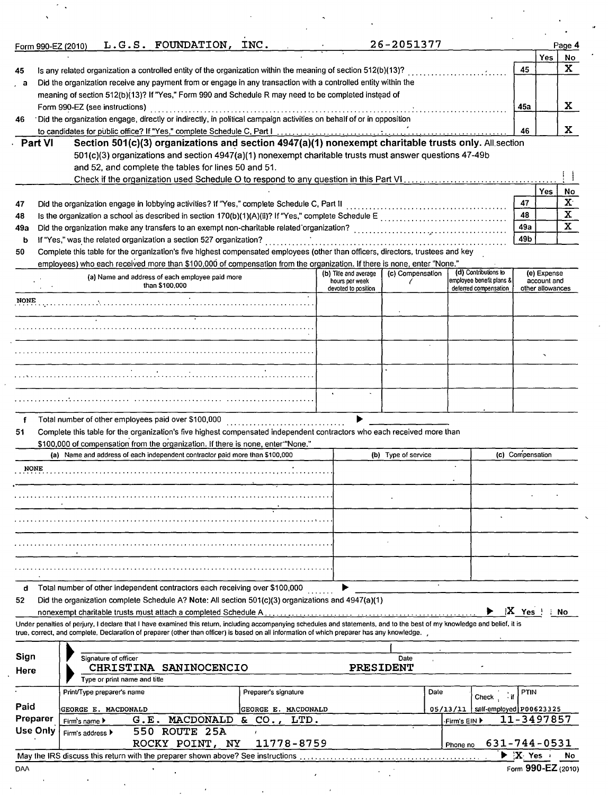| Form 990-EZ (2010) | L.G.S. FOUNDATION, INC.                                                                                                                                                                                                                                                                                                  |                                         | 26-2051377          |                                                        |                  |                            | Page 4                  |
|--------------------|--------------------------------------------------------------------------------------------------------------------------------------------------------------------------------------------------------------------------------------------------------------------------------------------------------------------------|-----------------------------------------|---------------------|--------------------------------------------------------|------------------|----------------------------|-------------------------|
|                    |                                                                                                                                                                                                                                                                                                                          |                                         |                     |                                                        |                  | Yes                        | No                      |
| 45                 | Is any related organization a controlled entity of the organization within the meaning of section 512(b)(13)?                                                                                                                                                                                                            |                                         |                     |                                                        | 45               |                            | $\mathbf{x}$            |
|                    | Did the organization receive any payment from or engage in any transaction with a controlled entity within the                                                                                                                                                                                                           |                                         |                     |                                                        |                  |                            |                         |
| a                  | meaning of section 512(b)(13)? If "Yes," Form 990 and Schedule R may need to be completed instead of                                                                                                                                                                                                                     |                                         |                     |                                                        |                  |                            |                         |
|                    | Form 990-EZ (see instructions)                                                                                                                                                                                                                                                                                           |                                         |                     |                                                        | 45а              |                            | X                       |
| 46                 | Did the organization engage, directly or indirectly, in political campaign activities on behalf of or in opposition                                                                                                                                                                                                      |                                         |                     |                                                        |                  |                            |                         |
|                    |                                                                                                                                                                                                                                                                                                                          |                                         |                     |                                                        | 46               |                            | X.                      |
| ∴ Part VI          | Section 501(c)(3) organizations and section 4947(a)(1) nonexempt charitable trusts only. All section                                                                                                                                                                                                                     |                                         |                     |                                                        |                  |                            |                         |
|                    | 501(c)(3) organizations and section 4947(a)(1) nonexempt charitable trusts must answer questions 47-49b                                                                                                                                                                                                                  |                                         |                     |                                                        |                  |                            |                         |
|                    | and 52, and complete the tables for lines 50 and 51.                                                                                                                                                                                                                                                                     |                                         |                     |                                                        |                  |                            |                         |
|                    |                                                                                                                                                                                                                                                                                                                          |                                         |                     |                                                        |                  |                            |                         |
|                    |                                                                                                                                                                                                                                                                                                                          |                                         |                     |                                                        |                  | <b>Yes</b>                 | No                      |
| 47                 | Did the organization engage in lobbying activities? If "Yes," complete Schedule C, Part II                                                                                                                                                                                                                               |                                         |                     |                                                        | 47               |                            | $\mathbf{X}$            |
| 48                 | Is the organization a school as described in section 170(b)(1)(A)(ii)? If "Yes," complete Schedule E                                                                                                                                                                                                                     |                                         |                     |                                                        | 48               |                            | $\overline{\mathbf{x}}$ |
| 49a                |                                                                                                                                                                                                                                                                                                                          |                                         |                     |                                                        | 49a              |                            | $\mathbf x$             |
| b                  | If "Yes," was the related organization a section 527 organization?                                                                                                                                                                                                                                                       |                                         |                     |                                                        | 49b              |                            |                         |
| 50                 | Complete this table for the organization's five highest compensated employees (other than officers, directors, trustees and key                                                                                                                                                                                          |                                         |                     |                                                        |                  |                            |                         |
|                    | employees) who each received more than \$100,000 of compensation from the organization. If there is none, enter "None."                                                                                                                                                                                                  |                                         |                     |                                                        |                  |                            |                         |
|                    | (a) Name and address of each employee paid more                                                                                                                                                                                                                                                                          | (b) Title and average<br>hours per week | (c) Compensation    | (d) Contributions to<br>employee benefit plans &       |                  | (e) Expense<br>account and |                         |
|                    | than \$100,000                                                                                                                                                                                                                                                                                                           | devoted to position                     |                     | deferred compensation                                  |                  | other allowances           |                         |
| <b>NONE</b>        |                                                                                                                                                                                                                                                                                                                          |                                         |                     |                                                        |                  |                            |                         |
|                    |                                                                                                                                                                                                                                                                                                                          |                                         |                     |                                                        |                  |                            |                         |
|                    |                                                                                                                                                                                                                                                                                                                          |                                         |                     |                                                        |                  |                            |                         |
|                    |                                                                                                                                                                                                                                                                                                                          |                                         |                     |                                                        |                  |                            |                         |
|                    |                                                                                                                                                                                                                                                                                                                          |                                         |                     |                                                        |                  |                            |                         |
|                    |                                                                                                                                                                                                                                                                                                                          |                                         |                     |                                                        |                  |                            |                         |
|                    |                                                                                                                                                                                                                                                                                                                          |                                         |                     |                                                        |                  |                            |                         |
|                    |                                                                                                                                                                                                                                                                                                                          |                                         |                     |                                                        |                  |                            |                         |
|                    |                                                                                                                                                                                                                                                                                                                          |                                         |                     |                                                        |                  |                            |                         |
|                    |                                                                                                                                                                                                                                                                                                                          |                                         |                     |                                                        |                  |                            |                         |
| f                  | Total number of other employees paid over \$100,000                                                                                                                                                                                                                                                                      |                                         |                     |                                                        |                  |                            |                         |
| 51                 | Complete this table for the organization's five highest compensated independent contractors who each received more than                                                                                                                                                                                                  |                                         |                     |                                                        |                  |                            |                         |
|                    | \$100,000 of compensation from the organization. If there is none, enter "None."                                                                                                                                                                                                                                         |                                         |                     |                                                        |                  |                            |                         |
|                    | (a) Name and address of each independent contractor paid more than \$100,000                                                                                                                                                                                                                                             |                                         | (b) Type of service |                                                        | (c) Compensation |                            |                         |
| NONE               |                                                                                                                                                                                                                                                                                                                          |                                         |                     |                                                        |                  |                            |                         |
|                    |                                                                                                                                                                                                                                                                                                                          |                                         |                     |                                                        |                  |                            |                         |
|                    |                                                                                                                                                                                                                                                                                                                          |                                         |                     |                                                        |                  |                            |                         |
|                    |                                                                                                                                                                                                                                                                                                                          |                                         |                     |                                                        |                  |                            |                         |
|                    |                                                                                                                                                                                                                                                                                                                          |                                         |                     |                                                        |                  |                            |                         |
|                    |                                                                                                                                                                                                                                                                                                                          |                                         |                     |                                                        |                  |                            |                         |
|                    |                                                                                                                                                                                                                                                                                                                          |                                         |                     |                                                        |                  |                            |                         |
|                    |                                                                                                                                                                                                                                                                                                                          |                                         |                     |                                                        |                  |                            |                         |
|                    | a sa mga kalawatan ng mga kalawang mga kalawang mga kalawang mga kalawang mga kalawang mga kalawang mga kalawa                                                                                                                                                                                                           |                                         |                     |                                                        |                  |                            |                         |
|                    |                                                                                                                                                                                                                                                                                                                          |                                         |                     |                                                        |                  |                            |                         |
| d                  | Total number of other independent contractors each receiving over \$100,000                                                                                                                                                                                                                                              | ▶                                       |                     |                                                        |                  |                            |                         |
| 52                 | Did the organization complete Schedule A? Note: All section 501(c)(3) organizations and 4947(a)(1)                                                                                                                                                                                                                       |                                         |                     |                                                        |                  |                            |                         |
|                    |                                                                                                                                                                                                                                                                                                                          |                                         |                     | $\blacktriangleright$ $ X \text{ Yes.} $ $ N0 \rangle$ |                  |                            |                         |
|                    | Under penalties of perjury, I declare that I have examined this return, including accompanying schedules and statements, and to the best of my knowledge and belief, it is<br>true, correct, and complete. Declaration of preparer (other than officer) is based on all information of which preparer has any knowledge. |                                         |                     |                                                        |                  |                            |                         |
|                    |                                                                                                                                                                                                                                                                                                                          |                                         |                     |                                                        |                  |                            |                         |
| Sign               | Signature of officer                                                                                                                                                                                                                                                                                                     |                                         | Date                |                                                        |                  |                            |                         |
| Here               | CHRISTINA SANINOCENCIO                                                                                                                                                                                                                                                                                                   | PRESIDENT                               |                     |                                                        |                  |                            |                         |
|                    | Type or print name and title                                                                                                                                                                                                                                                                                             |                                         |                     |                                                        |                  |                            |                         |
|                    | Print/Type preparer's name<br>Preparer's signature                                                                                                                                                                                                                                                                       |                                         | Date                |                                                        | <b>PTIN</b>      |                            |                         |
| Paid               |                                                                                                                                                                                                                                                                                                                          |                                         |                     | Check $\ddot{\phantom{a}}$ if                          |                  |                            |                         |
| Preparer           | GEORGE E. MACDONALD<br>GEORGE E. MACDONALD                                                                                                                                                                                                                                                                               |                                         |                     | 05/13/11   self-employed   P00623325                   |                  |                            |                         |
|                    | G.E. MACDONALD<br>& CO., LTD.<br>Firm's name ▶<br>550 ROUTE 25A<br>Firm's address ▶                                                                                                                                                                                                                                      |                                         |                     | -Firm's EIN ▶                                          | 11-3497857       |                            |                         |
| Use Only           | ROCKY POINT, NY<br>11778-8759                                                                                                                                                                                                                                                                                            |                                         |                     | 631-744-0531<br>Phone no                               |                  |                            |                         |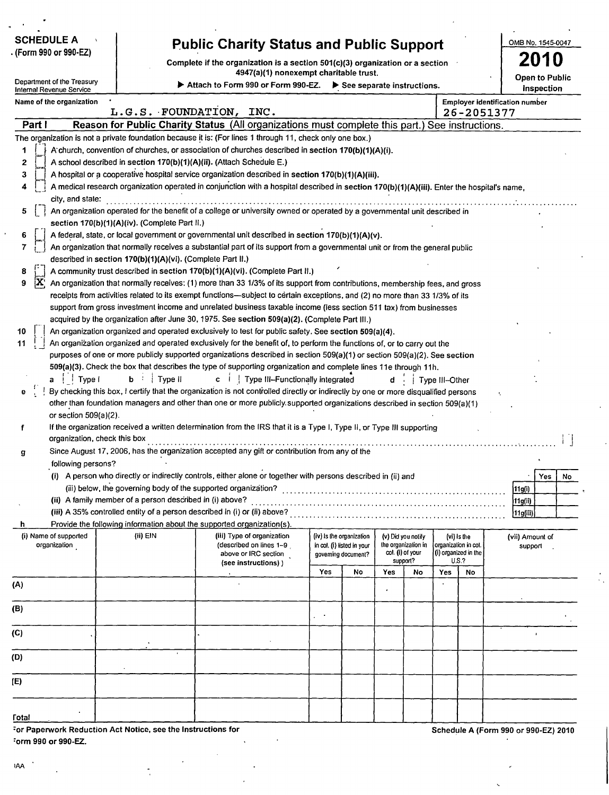| <b>SCHEDULE A</b><br><b>Public Charity Status and Public Support</b><br>. (Form 990 or 990-EZ)<br>Complete if the organization is a section $501(c)(3)$ organization or a section<br>4947(a)(1) nonexempt charitable trust. |                                                            |                                                                                                                                                                                                                                                      |     |                                                   |     |                                           |                                      |                                     | OMB No. 1545-0047<br>Đ<br><b>Open to Public</b> |                 |    |  |  |
|-----------------------------------------------------------------------------------------------------------------------------------------------------------------------------------------------------------------------------|------------------------------------------------------------|------------------------------------------------------------------------------------------------------------------------------------------------------------------------------------------------------------------------------------------------------|-----|---------------------------------------------------|-----|-------------------------------------------|--------------------------------------|-------------------------------------|-------------------------------------------------|-----------------|----|--|--|
| Department of the Treasury<br>Internal Revenue Service                                                                                                                                                                      |                                                            | Attach to Form 990 or Form 990-EZ.                                                                                                                                                                                                                   |     | See separate instructions.                        |     |                                           |                                      |                                     |                                                 | Inspection      |    |  |  |
| Name of the organization                                                                                                                                                                                                    |                                                            | L.G.S. FOUNDATION, INC.                                                                                                                                                                                                                              |     |                                                   |     |                                           |                                      |                                     | <b>Employer identification number</b>           |                 |    |  |  |
| Part I                                                                                                                                                                                                                      |                                                            | Reason for Public Charity Status (All organizations must complete this part.) See instructions.                                                                                                                                                      |     |                                                   |     |                                           |                                      |                                     | 26-2051377                                      |                 |    |  |  |
|                                                                                                                                                                                                                             |                                                            | The organization is not a private foundation because it is: (For lines 1 through 11, check only one box.)                                                                                                                                            |     |                                                   |     |                                           |                                      |                                     |                                                 |                 |    |  |  |
| 1                                                                                                                                                                                                                           |                                                            | A church, convention of churches, or association of churches described in section 170(b)(1)(A)(i).                                                                                                                                                   |     |                                                   |     |                                           |                                      |                                     |                                                 |                 |    |  |  |
| 2                                                                                                                                                                                                                           |                                                            | A school described in section 170(b)(1)(A)(ii). (Attach Schedule E.)                                                                                                                                                                                 |     |                                                   |     |                                           |                                      |                                     |                                                 |                 |    |  |  |
| 3                                                                                                                                                                                                                           |                                                            | A hospital or a cooperative hospital service organization described in section 170(b)(1)(A)(iii).                                                                                                                                                    |     |                                                   |     |                                           |                                      |                                     |                                                 |                 |    |  |  |
| 4                                                                                                                                                                                                                           |                                                            | A medical research organization operated in conjunction with a hospital described in section 170(b)(1)(A)(iii). Enter the hospital's name,                                                                                                           |     |                                                   |     |                                           |                                      |                                     |                                                 |                 |    |  |  |
| city, and state:                                                                                                                                                                                                            |                                                            |                                                                                                                                                                                                                                                      |     |                                                   |     |                                           |                                      |                                     |                                                 |                 |    |  |  |
| 5                                                                                                                                                                                                                           |                                                            | An organization operated for the benefit of a college or university owned or operated by a governmental unit described in                                                                                                                            |     |                                                   |     |                                           |                                      |                                     |                                                 |                 |    |  |  |
|                                                                                                                                                                                                                             | section 170(b)(1)(A)(iv). (Complete Part II.)              |                                                                                                                                                                                                                                                      |     |                                                   |     |                                           |                                      |                                     |                                                 |                 |    |  |  |
| 6<br>7                                                                                                                                                                                                                      |                                                            | A federal, state, or local government or governmental unit described in section 170(b)(1)(A)(v).<br>An organization that normally receives a substantial part of its support from a governmental unit or from the general public                     |     |                                                   |     |                                           |                                      |                                     |                                                 |                 |    |  |  |
|                                                                                                                                                                                                                             | described in section 170(b)(1)(A)(vi). (Complete Part II.) |                                                                                                                                                                                                                                                      |     |                                                   |     |                                           |                                      |                                     |                                                 |                 |    |  |  |
| 8                                                                                                                                                                                                                           |                                                            | A community trust described in section 170(b)(1)(A)(vi). (Complete Part II.)                                                                                                                                                                         |     |                                                   |     |                                           |                                      |                                     |                                                 |                 |    |  |  |
| $ {\bf X} $<br>9                                                                                                                                                                                                            |                                                            | An organization that normally receives: (1) more than 33 1/3% of its support from contributions, membership fees, and gross                                                                                                                          |     |                                                   |     |                                           |                                      |                                     |                                                 |                 |    |  |  |
|                                                                                                                                                                                                                             |                                                            | receipts from activities related to its exempt functions—subject to certain exceptions, and (2) no more than 33 1/3% of its                                                                                                                          |     |                                                   |     |                                           |                                      |                                     |                                                 |                 |    |  |  |
|                                                                                                                                                                                                                             |                                                            | support from gross investment income and unrelated business taxable income (less section 511 tax) from businesses                                                                                                                                    |     |                                                   |     |                                           |                                      |                                     |                                                 |                 |    |  |  |
|                                                                                                                                                                                                                             |                                                            | acquired by the organization after June 30, 1975. See section 509(a)(2). (Complete Part III.)                                                                                                                                                        |     |                                                   |     |                                           |                                      |                                     |                                                 |                 |    |  |  |
| 10                                                                                                                                                                                                                          |                                                            | An organization organized and operated exclusively to test for public safety. See section 509(a)(4).                                                                                                                                                 |     |                                                   |     |                                           |                                      |                                     |                                                 |                 |    |  |  |
| 11                                                                                                                                                                                                                          |                                                            | An organization organized and operated exclusively for the benefit of, to perform the functions of, or to carry out the<br>purposes of one or more publicly supported organizations described in section 509(a)(1) or section 509(a)(2). See section |     |                                                   |     |                                           |                                      |                                     |                                                 |                 |    |  |  |
|                                                                                                                                                                                                                             |                                                            | 509(a)(3). Check the box that describes the type of supporting organization and complete lines 11e through 11h.                                                                                                                                      |     |                                                   |     |                                           |                                      |                                     |                                                 |                 |    |  |  |
| <b>i</b> Type I                                                                                                                                                                                                             | Type II<br>b :                                             | Type III-Functionally integrated<br>$c +$                                                                                                                                                                                                            |     |                                                   | d.  |                                           | Type III-Other                       |                                     |                                                 |                 |    |  |  |
| е                                                                                                                                                                                                                           |                                                            | By checking this box, I certify that the organization is not controlled directly or indirectly by one or more disqualified persons                                                                                                                   |     |                                                   |     |                                           |                                      |                                     |                                                 |                 |    |  |  |
|                                                                                                                                                                                                                             |                                                            | other than foundation managers and other than one or more publicly supported organizations described in section 509(a)(1)                                                                                                                            |     |                                                   |     |                                           |                                      |                                     |                                                 |                 |    |  |  |
| or section 509(a)(2).                                                                                                                                                                                                       |                                                            |                                                                                                                                                                                                                                                      |     |                                                   |     |                                           |                                      |                                     |                                                 |                 |    |  |  |
| f                                                                                                                                                                                                                           |                                                            | If the organization received a written determination from the IRS that it is a Type I, Type II, or Type III supporting                                                                                                                               |     |                                                   |     |                                           |                                      |                                     |                                                 |                 |    |  |  |
| organization, check this box                                                                                                                                                                                                |                                                            |                                                                                                                                                                                                                                                      |     |                                                   |     |                                           |                                      |                                     |                                                 |                 |    |  |  |
| g                                                                                                                                                                                                                           |                                                            | Since August 17, 2006, has the organization accepted any gift or contribution from any of the                                                                                                                                                        |     |                                                   |     |                                           |                                      |                                     |                                                 |                 |    |  |  |
| following persons?                                                                                                                                                                                                          |                                                            | (i) A person who directly or indirectly controls, either alone or together with persons described in (ii) and                                                                                                                                        |     |                                                   |     |                                           |                                      |                                     |                                                 | Yes             |    |  |  |
|                                                                                                                                                                                                                             |                                                            | (iii) below, the governing body of the supported organization?                                                                                                                                                                                       |     |                                                   |     |                                           |                                      |                                     | 11g(i)                                          |                 | No |  |  |
|                                                                                                                                                                                                                             | (ii) A family member of a person described in (i) above?   |                                                                                                                                                                                                                                                      |     |                                                   |     |                                           |                                      |                                     | 11g(i)                                          |                 |    |  |  |
|                                                                                                                                                                                                                             |                                                            | (iii) A 35% controlled entity of a person described in (i) or (ii) above?                                                                                                                                                                            |     |                                                   |     |                                           |                                      |                                     | 11g(iii)                                        |                 |    |  |  |
| n                                                                                                                                                                                                                           |                                                            | Provide the following information about the supported organization(s).                                                                                                                                                                               |     |                                                   |     |                                           |                                      |                                     |                                                 |                 |    |  |  |
| (i) Name of supported<br>organization                                                                                                                                                                                       | (ii) EIN                                                   | (iii) Type of organization<br>(described on lines 1-9                                                                                                                                                                                                |     | (iv) Is the organization                          |     | (v) Did you notify<br>the organization in |                                      | (vi) is the<br>organization in col. |                                                 | (vii) Amount of |    |  |  |
|                                                                                                                                                                                                                             |                                                            | above or IRC section                                                                                                                                                                                                                                 |     | in col. (i) listed in your<br>governing document? |     | col. (i) of your                          |                                      | (i) organized in the                |                                                 | support         |    |  |  |
|                                                                                                                                                                                                                             |                                                            | (see instructions))                                                                                                                                                                                                                                  | Yes | No                                                | Yes | support?                                  | Yes                                  | U.S.?<br>No                         |                                                 |                 |    |  |  |
| (A)                                                                                                                                                                                                                         |                                                            |                                                                                                                                                                                                                                                      |     |                                                   |     | No                                        |                                      |                                     |                                                 |                 |    |  |  |
|                                                                                                                                                                                                                             |                                                            |                                                                                                                                                                                                                                                      |     |                                                   |     |                                           |                                      |                                     |                                                 |                 |    |  |  |
| (B)                                                                                                                                                                                                                         |                                                            |                                                                                                                                                                                                                                                      |     |                                                   |     |                                           |                                      |                                     |                                                 |                 |    |  |  |
| (C)                                                                                                                                                                                                                         |                                                            |                                                                                                                                                                                                                                                      |     |                                                   |     |                                           |                                      |                                     |                                                 |                 |    |  |  |
|                                                                                                                                                                                                                             |                                                            |                                                                                                                                                                                                                                                      |     |                                                   |     |                                           |                                      |                                     |                                                 |                 |    |  |  |
| (D)                                                                                                                                                                                                                         |                                                            |                                                                                                                                                                                                                                                      |     |                                                   |     |                                           |                                      |                                     |                                                 |                 |    |  |  |
| (E)                                                                                                                                                                                                                         |                                                            |                                                                                                                                                                                                                                                      |     |                                                   |     |                                           |                                      |                                     |                                                 |                 |    |  |  |
|                                                                                                                                                                                                                             |                                                            |                                                                                                                                                                                                                                                      |     |                                                   |     |                                           |                                      |                                     |                                                 |                 |    |  |  |
| <b>Fotal</b>                                                                                                                                                                                                                |                                                            |                                                                                                                                                                                                                                                      |     |                                                   |     |                                           |                                      |                                     |                                                 |                 |    |  |  |
|                                                                                                                                                                                                                             |                                                            | For Paperwork Reduction Act Notice, see the Instructions for                                                                                                                                                                                         |     |                                                   |     |                                           | Schedule A (Form 990 or 990-EZ) 2010 |                                     |                                                 |                 |    |  |  |

 $\hat{\mathbf{v}}$ 

 $\mathbb{Z}^2$ 

 $\ddot{\phantom{0}}$ 

 $\frac{1}{\sqrt{2}}$ 

 $\bar{z}$ 

 $\mathcal{L}$ 

 $\frac{1}{2}$ 

)AA

orm 990 or 990-EZ.

 $\ddot{\phantom{a}}$ 

 $\ddot{\phantom{0}}$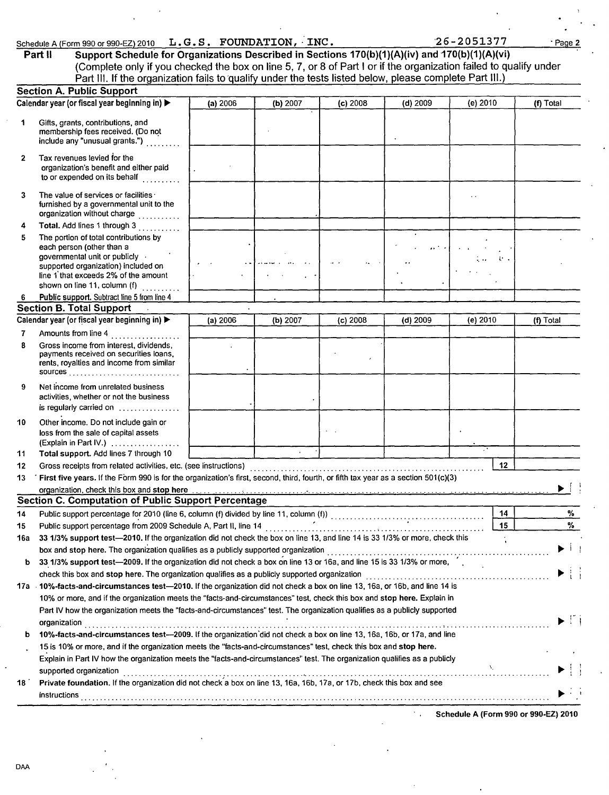Schedule A (Form 990 or 990-EZ) 2010 L.G.S. FOUNDATION, INC. 26-2051377 Page 2<br>Part II Support Schedule for Organizations Described in Sections 170(b)(1)(A)(iv) and 170(b)(1)(A)(vi) **Part II Support Schedule for Organizations Described in Sections** 170(b)(1)(A)(iv) **and** '170(b)(1)(A)(vi) (Complete only if you checked the box on line 5, 7, or 8 of Part I or if the organization failed to qualify under Part Ill. If the organization fails to qualify under the tests listed below, please complete Part Ill.)

|              | <b>Section A. Public Support</b>                                                                                                                                                                                              |          |              |            |            |          |       |           |
|--------------|-------------------------------------------------------------------------------------------------------------------------------------------------------------------------------------------------------------------------------|----------|--------------|------------|------------|----------|-------|-----------|
|              | Calendar year (or fiscal year beginning in)                                                                                                                                                                                   | (a) 2006 | (b) 2007     | (c) 2008   | $(d)$ 2009 | (e) 2010 |       | (f) Total |
| 1            | Gifts, grants, contributions, and<br>membership fees received. (Do not<br>include any "unusual grants.")                                                                                                                      |          |              |            |            |          |       |           |
| $\mathbf{z}$ | Tax revenues levied for the<br>organization's benefit and either paid<br>to or expended on its behalf                                                                                                                         |          |              |            |            |          |       |           |
| 3            | The value of services or facilities ·<br>furnished by a governmental unit to the                                                                                                                                              |          |              |            |            |          |       |           |
| 4            | Total. Add lines 1 through 3                                                                                                                                                                                                  |          |              |            |            |          |       |           |
| 5            | The portion of total contributions by<br>each person (other than a<br>governmental unit or publicly .<br>supported organization) included on                                                                                  |          |              |            |            |          | $v$ . |           |
|              | line 1 that exceeds 2% of the amount<br>shown on line 11, column (f)<br>.                                                                                                                                                     |          |              |            |            |          |       |           |
| 6            | Public support. Subtract line 5 from line 4                                                                                                                                                                                   |          |              |            |            |          |       |           |
|              | <b>Section B. Total Support</b>                                                                                                                                                                                               |          |              |            |            |          |       |           |
|              | Calendar year (or fiscal year beginning in) >                                                                                                                                                                                 | (a) 2006 | (b) 2007     | $(c)$ 2008 | $(d)$ 2009 | (e) 2010 |       | (f) Total |
| 7            | Amounts from line 4                                                                                                                                                                                                           |          |              |            |            |          |       |           |
| 8            | Gross income from interest, dividends,<br>payments received on securities loans.<br>rents, royalties and income from similar                                                                                                  |          |              |            |            |          |       |           |
| 9            | Net income from unrelated business<br>activities, whether or not the business<br>is regularly carried on                                                                                                                      |          |              |            |            |          |       |           |
| 10           | Other income. Do not include gain or<br>loss from the sale of capital assets<br>(Explain in Part IV.)                                                                                                                         |          |              |            |            |          |       |           |
| 11           | Total support. Add lines 7 through 10                                                                                                                                                                                         |          | $\mathbf{r}$ |            |            |          |       |           |
| 12           | Gross receipts from related activities, etc. (see instructions)                                                                                                                                                               |          |              |            |            |          | 12    |           |
| 13           | First five years. If the Form 990 is for the organization's first, second, third, fourth, or fifth tax year as a section 501(c)(3)                                                                                            |          |              |            |            |          |       |           |
|              | organization, check this box and stop here with a strategy of the strategy of the strategy of the strategy of the strategy of the strategy of the strategy of the strategy of the strategy of the strategy of the strategy of |          |              |            |            |          |       |           |
|              | <b>Section C. Computation of Public Support Percentage</b>                                                                                                                                                                    |          |              |            |            |          |       |           |
| 14           |                                                                                                                                                                                                                               |          |              |            |            |          | 14    | %         |
| 15           | Public support percentage from 2009 Schedule A, Part II, line 14                                                                                                                                                              |          |              |            |            |          | 15    | %         |
|              | 16a 33 1/3% support test-2010. If the organization did not check the box on line 13, and line 14 is 33 1/3% or more, check this                                                                                               |          |              |            |            |          |       |           |
|              | box and stop here. The organization qualifies as a publicly supported organization                                                                                                                                            |          |              |            |            |          |       |           |
| b            | 33 1/3% support test—2009. If the organization did not check a box on line 13 or 16a, and line 15 is 33 1/3% or more, $\dot{ }$ .                                                                                             |          |              |            |            |          |       |           |
|              | check this box and stop here. The organization qualifies as a publicly supported organization                                                                                                                                 |          |              |            |            |          |       |           |
|              | 17a 10%-facts-and-circumstances test-2010. If the organization did not check a box on line 13, 16a, or 16b, and line 14 is                                                                                                    |          |              |            |            |          |       |           |
|              | 10% or more, and if the organization meets the "facts-and-circumstances" test, check this box and stop here. Explain in                                                                                                       |          |              |            |            |          |       |           |
|              | Part IV how the organization meets the "facts-and-circumstances" test. The organization qualifies as a publicly supported<br>organization                                                                                     |          |              |            |            |          |       |           |
| b            | 10%-facts-and-circumstances test---2009. If the organization did not check a box on line 13, 16a, 16b, or 17a, and line                                                                                                       |          |              |            |            |          |       |           |
|              | 15 is 10% or more, and if the organization meets the "facts-and-circumstances" test, check this box and stop here.                                                                                                            |          |              |            |            |          |       |           |
|              | Explain in Part IV how the organization meets the "facts-and-circumstances" test. The organization qualifies as a publicly                                                                                                    |          |              |            |            |          |       |           |
|              |                                                                                                                                                                                                                               |          |              |            |            |          |       |           |
| 18           | Private foundation. If the organization did not check a box on line 13, 16a, 16b, 17a, or 17b, check this box and see                                                                                                         |          |              |            |            |          |       |           |
|              |                                                                                                                                                                                                                               |          |              |            |            |          |       |           |

Schedule A (Form 990 or 990-EZ) 2010

 $\mathcal{C}_{\mathcal{A}}$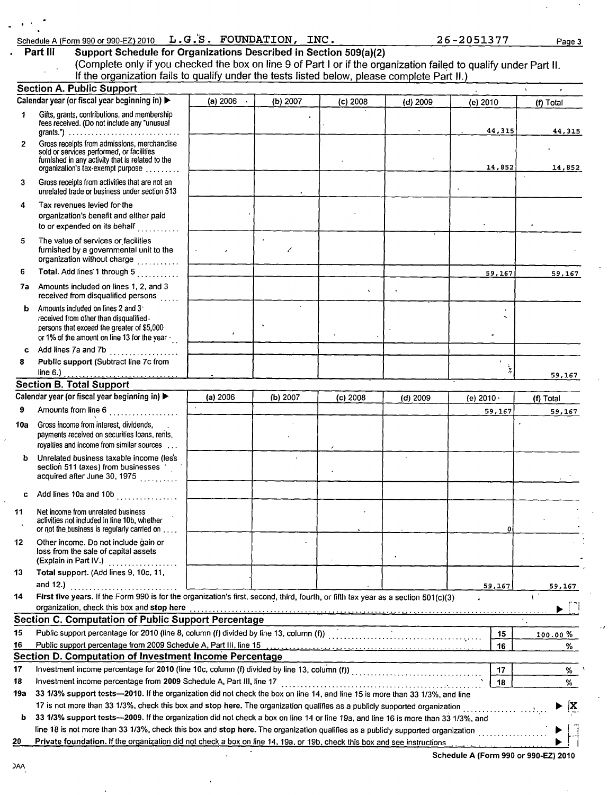|                | Schedule A (Form 990 or 990-EZ) 2010 L.G.S. FOUNDATION, INC.                                                                                                                      |            |          |            |            | 26-2051377       | Page 3       |
|----------------|-----------------------------------------------------------------------------------------------------------------------------------------------------------------------------------|------------|----------|------------|------------|------------------|--------------|
|                | Support Schedule for Organizations Described in Section 509(a)(2)<br>Part III                                                                                                     |            |          |            |            |                  |              |
|                | (Complete only if you checked the box on line 9 of Part I or if the organization failed to qualify under Part II.                                                                 |            |          |            |            |                  |              |
|                | If the organization fails to qualify under the tests listed below, please complete Part II.)                                                                                      |            |          |            |            |                  |              |
|                | <b>Section A. Public Support</b>                                                                                                                                                  |            |          |            |            |                  | $\mathbf{v}$ |
|                | Calendar year (or fiscal year beginning in)                                                                                                                                       | (a) $2006$ | (b) 2007 | $(c)$ 2008 | $(d)$ 2009 | (e) 2010         | (f) Total    |
| 1              | Gifts, grants, contributions, and membership<br>fees received. (Do not include any "unusual<br>grants.") $\ldots \ldots \ldots \ldots \ldots \ldots \ldots \ldots \ldots \ldots$  |            |          |            |            | 44,315           | 44,315       |
| $\overline{2}$ | Gross receipts from admissions, merchandise<br>sold or services performed, or facilities<br>furnished in any activity that is related to the<br>organization's tax-exempt purpose |            |          |            |            | 14,852           | 14,852       |
| 3              | Gross receipts from activities that are not an<br>unrelated trade or business under section 513                                                                                   |            |          |            |            |                  |              |
| 4              | Tax revenues levied for the<br>organization's benefit and either paid<br>to or expended on its behalf                                                                             |            |          |            |            |                  |              |
| 5              | The value of services or facilities<br>furnished by a governmental unit to the<br>organization without charge                                                                     |            | ∕        |            |            |                  |              |
| 6              | Total. Add lines 1 through 5                                                                                                                                                      |            |          |            |            | 59,167           | 59,167       |
| 7а             | Amounts included on lines 1, 2, and 3<br>received from disqualified persons                                                                                                       |            |          | $\cdot$    |            |                  |              |
| b              | Amounts included on lines 2 and 3<br>received from other than disqualified.<br>persons that exceed the greater of \$5,000<br>or 1% of the amount on line 13 for the year          |            |          |            |            |                  |              |
| c              | Add lines 7a and 7b<br>. . <i>. .</i>                                                                                                                                             |            |          |            |            |                  |              |
| 8              | Public support (Subtract line 7c from                                                                                                                                             |            |          |            |            |                  |              |
|                | line $6.$ )                                                                                                                                                                       |            |          |            |            |                  | 59,167       |
|                | <b>Section B. Total Support</b><br>Calendar year (or fiscal year beginning in)                                                                                                    |            |          |            |            |                  |              |
|                |                                                                                                                                                                                   | (a) 2006   | (b) 2007 | $(c)$ 2008 | $(d)$ 2009 | (e) $2010 \cdot$ | (f) Total    |
| 9              | Amounts from line 6                                                                                                                                                               |            |          |            |            | 59,167           | 59,167       |
| 10a            | Gross income from interest, dividends,<br>payments received on securities loans, rents,<br>royalties and income from similar sources                                              |            |          |            |            |                  |              |
| ь              | Unrelated business taxable income (les's<br>section 511 taxes) from businesses<br>acquired after June 30, 1975                                                                    |            |          |            |            |                  |              |
|                | Add lines 10a and 10b<br>and a straight and a straight                                                                                                                            |            |          |            |            |                  |              |
| 11             | Net income from unrelated business<br>activities not included in line 10b, whether<br>or not the business is regularly carried on                                                 |            |          |            |            |                  |              |
| 12             | Other income. Do not include gain or<br>loss from the sale of capital assets<br>(Explain in Part IV.)                                                                             |            |          |            |            |                  |              |
| 13             | Total support. (Add lines 9, 10c, 11,<br>and 12.)                                                                                                                                 |            |          |            |            | 59,167           | 59,167       |
| 14             | First five years. If the Form 990 is for the organization's first, second, third, fourth, or fifth tax year as a section 501(c)(3)                                                |            |          |            |            |                  |              |
|                | organization, check this box and stop here                                                                                                                                        |            |          |            |            |                  |              |
|                | <b>Section C. Computation of Public Support Percentage</b>                                                                                                                        |            |          |            |            |                  |              |
| 15             | Public support percentage for 2010 (line 8, column (f) divided by line 13, column (f))                                                                                            |            |          |            |            | 15               | 100.00%      |
| 16             |                                                                                                                                                                                   |            |          |            |            | 16               | %            |
|                | Section D. Computation of Investment Income Percentage                                                                                                                            |            |          |            |            |                  |              |
| 17             |                                                                                                                                                                                   |            |          |            |            | 17               | %            |
| 18             | Investment income percentage from 2009 Schedule A, Part III, line 17                                                                                                              |            |          |            |            | 18               | %            |
| 19а            | 33 1/3% support tests-2010. If the organization did not check the box on line 14, and line 15 is more than 33 1/3%, and line                                                      |            |          |            |            |                  |              |
|                | 17 is not more than 33 1/3%, check this box and stop here. The organization qualifies as a publicly supported organization                                                        |            |          |            |            |                  | X            |
| b              | 33 1/3% support tests--2009. If the organization did not check a box on line 14 or line 19a, and line 16 is more than 33 1/3%, and                                                |            |          |            |            |                  |              |
|                | Private foundation. If the organization did not check a box on line 14, 19a, or 19b, check this box and see instructions                                                          |            |          |            |            |                  |              |

 $\overline{a}$ 

l,

 $\ddot{\phantom{0}}$ 

 $\ddot{\phantom{1}}$ 

 $\ddot{\phantom{a}}$ 

 $\lambda$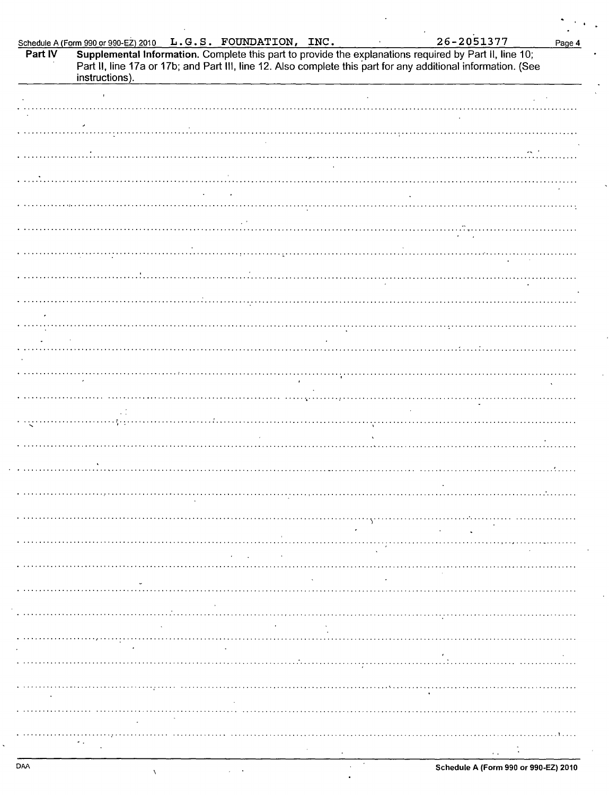| Part IV | Schedule A (Form 990 or 990-EZ) 2010 L.G.S. FOUNDATION, INC.                                                                                                                                                            |  |  | 26-2051377 | Page 4 |
|---------|-------------------------------------------------------------------------------------------------------------------------------------------------------------------------------------------------------------------------|--|--|------------|--------|
|         | Supplemental Information. Complete this part to provide the explanations required by Part II, line 10;<br>Part II, line 17a or 17b; and Part III, line 12. Also complete this part for any additional information. (See |  |  |            |        |
|         | instructions).                                                                                                                                                                                                          |  |  |            |        |
|         | $\mathbf{f}$                                                                                                                                                                                                            |  |  |            |        |
|         |                                                                                                                                                                                                                         |  |  |            |        |
|         |                                                                                                                                                                                                                         |  |  |            |        |
|         |                                                                                                                                                                                                                         |  |  |            |        |
|         |                                                                                                                                                                                                                         |  |  |            |        |
|         |                                                                                                                                                                                                                         |  |  |            |        |
|         |                                                                                                                                                                                                                         |  |  |            |        |
|         |                                                                                                                                                                                                                         |  |  |            |        |
|         |                                                                                                                                                                                                                         |  |  |            |        |
|         |                                                                                                                                                                                                                         |  |  |            |        |
|         |                                                                                                                                                                                                                         |  |  |            |        |
|         |                                                                                                                                                                                                                         |  |  |            |        |
|         |                                                                                                                                                                                                                         |  |  |            |        |
|         |                                                                                                                                                                                                                         |  |  |            |        |
|         |                                                                                                                                                                                                                         |  |  |            |        |
|         |                                                                                                                                                                                                                         |  |  |            |        |
|         |                                                                                                                                                                                                                         |  |  |            |        |
|         |                                                                                                                                                                                                                         |  |  |            |        |
|         |                                                                                                                                                                                                                         |  |  |            |        |
|         |                                                                                                                                                                                                                         |  |  |            |        |
|         |                                                                                                                                                                                                                         |  |  |            |        |
|         |                                                                                                                                                                                                                         |  |  |            |        |
|         |                                                                                                                                                                                                                         |  |  |            |        |
|         |                                                                                                                                                                                                                         |  |  |            |        |
|         |                                                                                                                                                                                                                         |  |  |            |        |
|         |                                                                                                                                                                                                                         |  |  |            |        |
|         |                                                                                                                                                                                                                         |  |  |            |        |
|         |                                                                                                                                                                                                                         |  |  |            |        |
|         |                                                                                                                                                                                                                         |  |  |            |        |
|         |                                                                                                                                                                                                                         |  |  |            |        |
|         |                                                                                                                                                                                                                         |  |  |            |        |
|         |                                                                                                                                                                                                                         |  |  |            |        |

 $\overline{\phantom{a}}$ 

 $\lambda$  .  $\ddot{\phantom{0}}$ 

> $\langle \cdot \rangle$  $\bar{a}$

> > $\ddot{\phantom{0}}$

 $\ddot{\phantom{0}}$ 

 $\ddot{\phantom{a}}$ 

 $\ddot{\phantom{a}}$ 

 $\mathcal{A}$ 

 $\bar{\chi}$ 

 $\ddot{\phantom{0}}$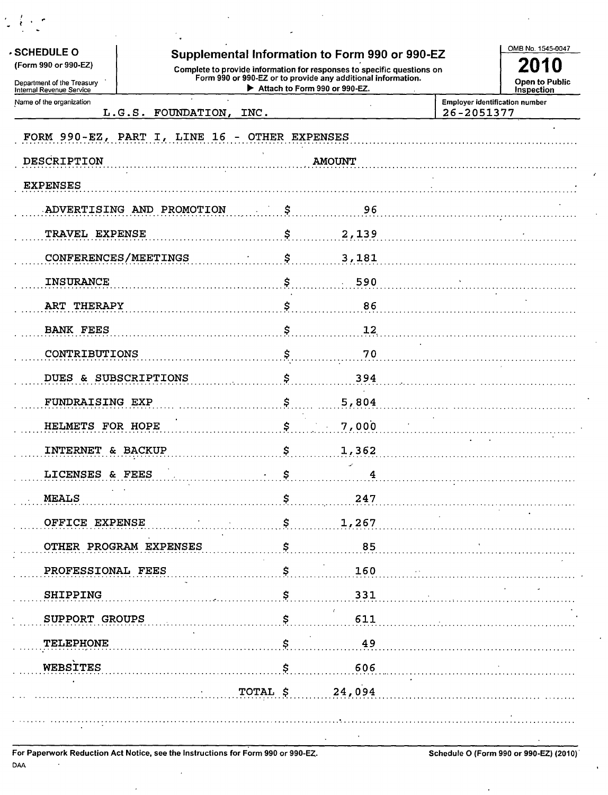| <b>SCHEDULE O</b><br>(Form 990 or 990-EZ)<br>Department of the Treasury<br>Internal Revenue Service |                | Supplemental Information to Form 990 or 990-EZ<br>Complete to provide information for responses to specific questions on<br>Form 990 or 990-EZ or to provide any additional information.<br>Attach to Form 990 or 990-EZ. |            | 20<br>10<br><b>Open to Public</b><br><b>Inspection</b> |
|-----------------------------------------------------------------------------------------------------|----------------|---------------------------------------------------------------------------------------------------------------------------------------------------------------------------------------------------------------------------|------------|--------------------------------------------------------|
| Name of the organization<br>L.G.S. FOUNDATION, INC.                                                 |                |                                                                                                                                                                                                                           | 26-2051377 | <b>Employer identification number</b>                  |
| FORM 990-EZ, PART I, LINE 16                                                                        | $\blacksquare$ | <b>OTHER EXPENSES</b>                                                                                                                                                                                                     |            |                                                        |
| DESCRIPTION                                                                                         |                | <b>AMOUNT</b>                                                                                                                                                                                                             |            |                                                        |
| <b>EXPENSES</b>                                                                                     |                |                                                                                                                                                                                                                           |            |                                                        |
| ADVERTISING AND PROMOTION                                                                           | \$             | 96                                                                                                                                                                                                                        |            |                                                        |
| TRAVEL EXPENSE                                                                                      | \$             | 2,139                                                                                                                                                                                                                     |            |                                                        |
| CONFERENCES/MEETINGS                                                                                | \$             | 3,181                                                                                                                                                                                                                     |            |                                                        |
| <b>INSURANCE</b>                                                                                    | \$             | 590                                                                                                                                                                                                                       |            |                                                        |
| ART THERAPY                                                                                         | \$             | 86                                                                                                                                                                                                                        |            |                                                        |
| <b>BANK FEES</b>                                                                                    | \$             | 12                                                                                                                                                                                                                        |            |                                                        |
| CONTRIBUTIONS                                                                                       | \$             | 70                                                                                                                                                                                                                        |            |                                                        |
| DUES & SUBSCRIPTIONS                                                                                | \$             | 394                                                                                                                                                                                                                       |            |                                                        |
| FUNDRAISING EXP                                                                                     | \$             | 5,804                                                                                                                                                                                                                     |            |                                                        |
| HELMETS FOR HOPE                                                                                    | \$             | 7,000                                                                                                                                                                                                                     |            |                                                        |
| <b>INTERNET</b><br>& BACKUP                                                                         | \$             | 1,362                                                                                                                                                                                                                     |            |                                                        |
| LICENSES & FEES                                                                                     | \$             | 4                                                                                                                                                                                                                         |            |                                                        |
| <b>MEALS</b>                                                                                        |                | 247                                                                                                                                                                                                                       |            |                                                        |
| OFFICE EXPENSE                                                                                      | s              | 1,267                                                                                                                                                                                                                     |            |                                                        |
| OTHER PROGRAM EXPENSES                                                                              | s              | 85                                                                                                                                                                                                                        |            |                                                        |
| PROFESSIONAL FEES                                                                                   | \$             | 160                                                                                                                                                                                                                       |            |                                                        |
| SHIPPING                                                                                            | s              | 331                                                                                                                                                                                                                       |            |                                                        |
| SUPPORT GROUPS                                                                                      | Ś              | 611                                                                                                                                                                                                                       |            |                                                        |
| TELEPHONE                                                                                           | \$             | 49                                                                                                                                                                                                                        |            |                                                        |
| WEBSITES                                                                                            | \$             | 606                                                                                                                                                                                                                       |            |                                                        |
|                                                                                                     | TOTAL \$       | 24,094                                                                                                                                                                                                                    |            |                                                        |

 $\bar{z}$ 

 $\bar{\mathcal{A}}$ 

For Paperwork Reduction Act Notice, see the Instructions for Form 990 or 990-EZ. Schedule 0 (Form 990 or 990-EZ) (2010) DAA $\ddot{\phantom{a}}$ 

 $\ddot{\phantom{a}}$ 

 $\lambda$ 

**-**

 $\frac{1}{k}$  ,  $\frac{1}{k}$ 

 $\bullet$ 

 $\ddot{\phantom{a}}$